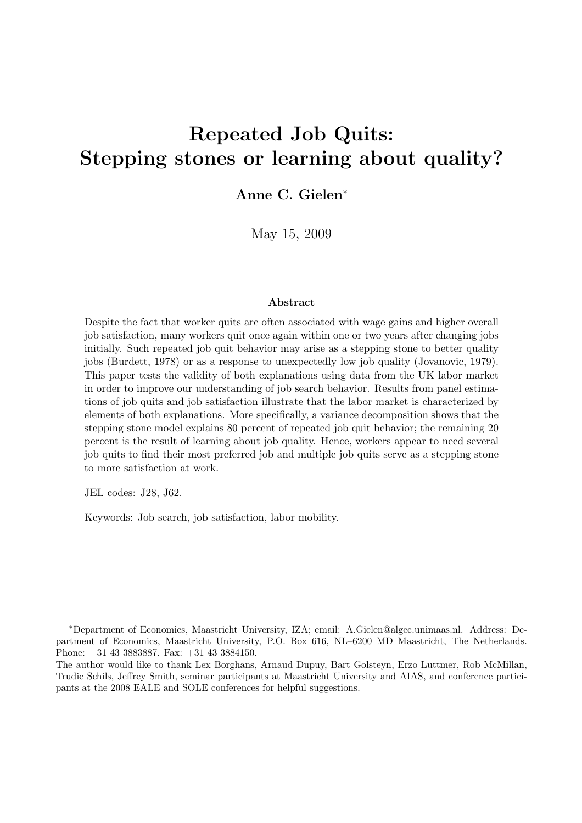# Repeated Job Quits: Stepping stones or learning about quality?

Anne C. Gielen<sup>∗</sup>

May 15, 2009

#### Abstract

Despite the fact that worker quits are often associated with wage gains and higher overall job satisfaction, many workers quit once again within one or two years after changing jobs initially. Such repeated job quit behavior may arise as a stepping stone to better quality jobs (Burdett, 1978) or as a response to unexpectedly low job quality (Jovanovic, 1979). This paper tests the validity of both explanations using data from the UK labor market in order to improve our understanding of job search behavior. Results from panel estimations of job quits and job satisfaction illustrate that the labor market is characterized by elements of both explanations. More specifically, a variance decomposition shows that the stepping stone model explains 80 percent of repeated job quit behavior; the remaining 20 percent is the result of learning about job quality. Hence, workers appear to need several job quits to find their most preferred job and multiple job quits serve as a stepping stone to more satisfaction at work.

JEL codes: J28, J62.

Keywords: Job search, job satisfaction, labor mobility.

<sup>∗</sup>Department of Economics, Maastricht University, IZA; email: A.Gielen@algec.unimaas.nl. Address: Department of Economics, Maastricht University, P.O. Box 616, NL–6200 MD Maastricht, The Netherlands. Phone: +31 43 3883887. Fax: +31 43 3884150.

The author would like to thank Lex Borghans, Arnaud Dupuy, Bart Golsteyn, Erzo Luttmer, Rob McMillan, Trudie Schils, Jeffrey Smith, seminar participants at Maastricht University and AIAS, and conference participants at the 2008 EALE and SOLE conferences for helpful suggestions.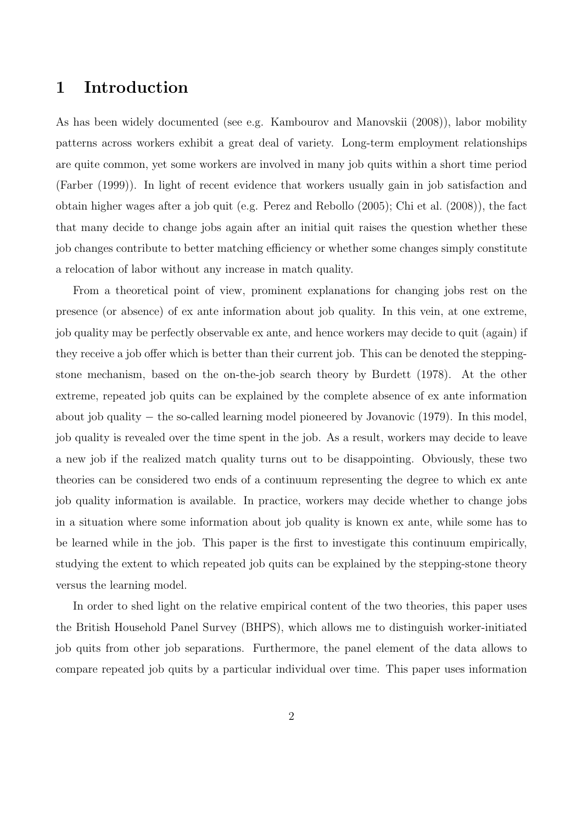### 1 Introduction

As has been widely documented (see e.g. Kambourov and Manovskii (2008)), labor mobility patterns across workers exhibit a great deal of variety. Long-term employment relationships are quite common, yet some workers are involved in many job quits within a short time period (Farber (1999)). In light of recent evidence that workers usually gain in job satisfaction and obtain higher wages after a job quit (e.g. Perez and Rebollo (2005); Chi et al. (2008)), the fact that many decide to change jobs again after an initial quit raises the question whether these job changes contribute to better matching efficiency or whether some changes simply constitute a relocation of labor without any increase in match quality.

From a theoretical point of view, prominent explanations for changing jobs rest on the presence (or absence) of ex ante information about job quality. In this vein, at one extreme, job quality may be perfectly observable ex ante, and hence workers may decide to quit (again) if they receive a job offer which is better than their current job. This can be denoted the steppingstone mechanism, based on the on-the-job search theory by Burdett (1978). At the other extreme, repeated job quits can be explained by the complete absence of ex ante information about job quality − the so-called learning model pioneered by Jovanovic (1979). In this model, job quality is revealed over the time spent in the job. As a result, workers may decide to leave a new job if the realized match quality turns out to be disappointing. Obviously, these two theories can be considered two ends of a continuum representing the degree to which ex ante job quality information is available. In practice, workers may decide whether to change jobs in a situation where some information about job quality is known ex ante, while some has to be learned while in the job. This paper is the first to investigate this continuum empirically, studying the extent to which repeated job quits can be explained by the stepping-stone theory versus the learning model.

In order to shed light on the relative empirical content of the two theories, this paper uses the British Household Panel Survey (BHPS), which allows me to distinguish worker-initiated job quits from other job separations. Furthermore, the panel element of the data allows to compare repeated job quits by a particular individual over time. This paper uses information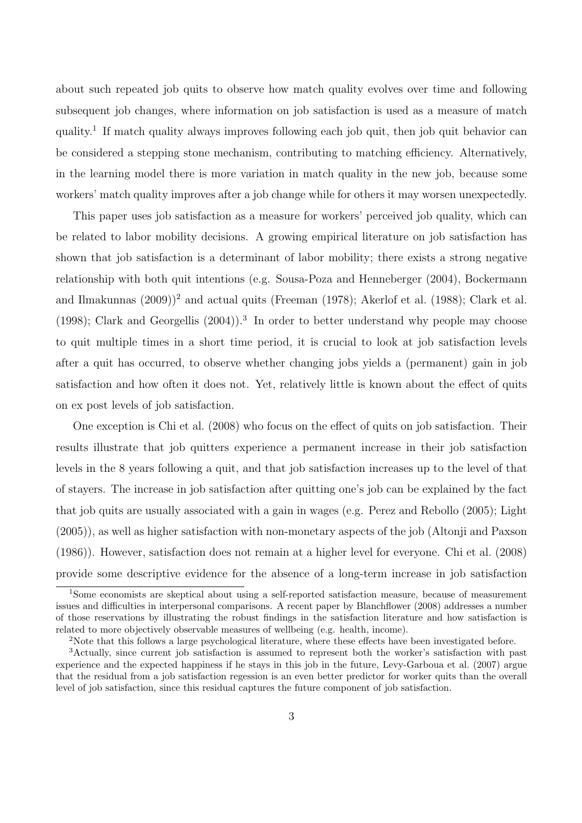about such repeated job quits to observe how match quality evolves over time and following subsequent job changes, where information on job satisfaction is used as a measure of match quality.<sup>1</sup> If match quality always improves following each job quit, then job quit behavior can be considered a stepping stone mechanism, contributing to matching efficiency. Alternatively, in the learning model there is more variation in match quality in the new job, because some workers' match quality improves after a job change while for others it may worsen unexpectedly.

This paper uses job satisfaction as a measure for workers' perceived job quality, which can be related to labor mobility decisions. A growing empirical literature on job satisfaction has shown that job satisfaction is a determinant of labor mobility; there exists a strong negative relationship with both quit intentions (e.g. Sousa-Poza and Henneberger (2004), Bockermann and Ilmakunnas  $(2009)^2$  and actual quits (Freeman (1978); Akerlof et al. (1988); Clark et al. (1998); Clark and Georgellis (2004)).<sup>3</sup> In order to better understand why people may choose to quit multiple times in a short time period, it is crucial to look at job satisfaction levels after a quit has occurred, to observe whether changing jobs yields a (permanent) gain in job satisfaction and how often it does not. Yet, relatively little is known about the effect of quits on ex post levels of job satisfaction.

One exception is Chi et al. (2008) who focus on the effect of quits on job satisfaction. Their results illustrate that job quitters experience a permanent increase in their job satisfaction levels in the 8 years following a quit, and that job satisfaction increases up to the level of that of stayers. The increase in job satisfaction after quitting one's job can be explained by the fact that job quits are usually associated with a gain in wages (e.g. Perez and Rebollo (2005); Light (2005)), as well as higher satisfaction with non-monetary aspects of the job (Altonji and Paxson (1986)). However, satisfaction does not remain at a higher level for everyone. Chi et al. (2008) provide some descriptive evidence for the absence of a long-term increase in job satisfaction

<sup>1</sup>Some economists are skeptical about using a self-reported satisfaction measure, because of measurement issues and difficulties in interpersonal comparisons. A recent paper by Blanchflower (2008) addresses a number of those reservations by illustrating the robust findings in the satisfaction literature and how satisfaction is related to more objectively observable measures of wellbeing (e.g. health, income).

<sup>&</sup>lt;sup>2</sup>Note that this follows a large psychological literature, where these effects have been investigated before.

<sup>3</sup>Actually, since current job satisfaction is assumed to represent both the worker's satisfaction with past experience and the expected happiness if he stays in this job in the future, Levy-Garboua et al. (2007) argue that the residual from a job satisfaction regession is an even better predictor for worker quits than the overall level of job satisfaction, since this residual captures the future component of job satisfaction.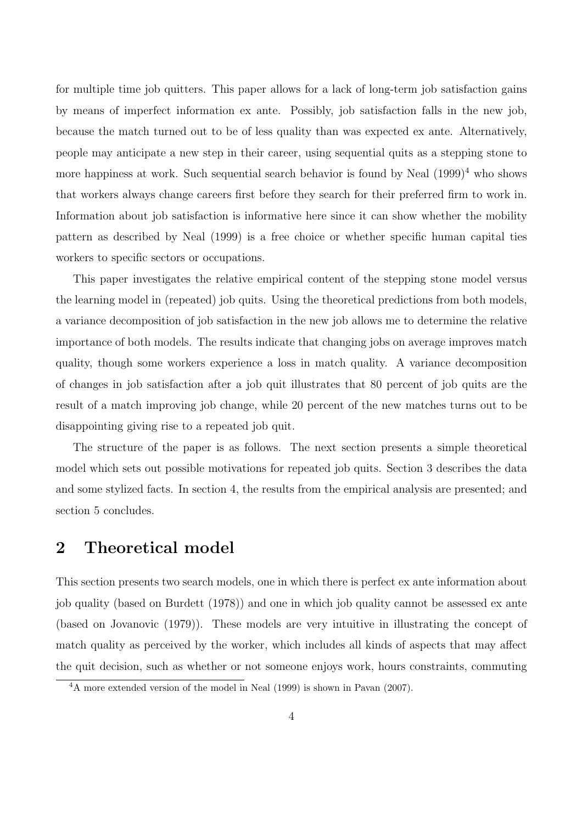for multiple time job quitters. This paper allows for a lack of long-term job satisfaction gains by means of imperfect information ex ante. Possibly, job satisfaction falls in the new job, because the match turned out to be of less quality than was expected ex ante. Alternatively, people may anticipate a new step in their career, using sequential quits as a stepping stone to more happiness at work. Such sequential search behavior is found by Neal  $(1999)^4$  who shows that workers always change careers first before they search for their preferred firm to work in. Information about job satisfaction is informative here since it can show whether the mobility pattern as described by Neal (1999) is a free choice or whether specific human capital ties workers to specific sectors or occupations.

This paper investigates the relative empirical content of the stepping stone model versus the learning model in (repeated) job quits. Using the theoretical predictions from both models, a variance decomposition of job satisfaction in the new job allows me to determine the relative importance of both models. The results indicate that changing jobs on average improves match quality, though some workers experience a loss in match quality. A variance decomposition of changes in job satisfaction after a job quit illustrates that 80 percent of job quits are the result of a match improving job change, while 20 percent of the new matches turns out to be disappointing giving rise to a repeated job quit.

The structure of the paper is as follows. The next section presents a simple theoretical model which sets out possible motivations for repeated job quits. Section 3 describes the data and some stylized facts. In section 4, the results from the empirical analysis are presented; and section 5 concludes.

### 2 Theoretical model

This section presents two search models, one in which there is perfect ex ante information about job quality (based on Burdett (1978)) and one in which job quality cannot be assessed ex ante (based on Jovanovic (1979)). These models are very intuitive in illustrating the concept of match quality as perceived by the worker, which includes all kinds of aspects that may affect the quit decision, such as whether or not someone enjoys work, hours constraints, commuting

<sup>4</sup>A more extended version of the model in Neal (1999) is shown in Pavan (2007).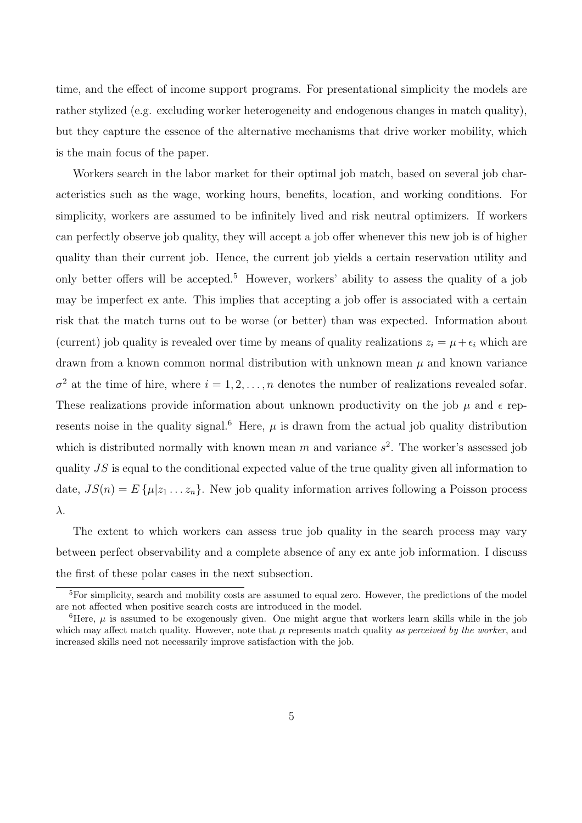time, and the effect of income support programs. For presentational simplicity the models are rather stylized (e.g. excluding worker heterogeneity and endogenous changes in match quality), but they capture the essence of the alternative mechanisms that drive worker mobility, which is the main focus of the paper.

Workers search in the labor market for their optimal job match, based on several job characteristics such as the wage, working hours, benefits, location, and working conditions. For simplicity, workers are assumed to be infinitely lived and risk neutral optimizers. If workers can perfectly observe job quality, they will accept a job offer whenever this new job is of higher quality than their current job. Hence, the current job yields a certain reservation utility and only better offers will be accepted.<sup>5</sup> However, workers' ability to assess the quality of a job may be imperfect ex ante. This implies that accepting a job offer is associated with a certain risk that the match turns out to be worse (or better) than was expected. Information about (current) job quality is revealed over time by means of quality realizations  $z_i = \mu + \epsilon_i$  which are drawn from a known common normal distribution with unknown mean  $\mu$  and known variance  $\sigma^2$  at the time of hire, where  $i = 1, 2, ..., n$  denotes the number of realizations revealed sofar. These realizations provide information about unknown productivity on the job  $\mu$  and  $\epsilon$  represents noise in the quality signal.<sup>6</sup> Here,  $\mu$  is drawn from the actual job quality distribution which is distributed normally with known mean m and variance  $s^2$ . The worker's assessed job quality  $JS$  is equal to the conditional expected value of the true quality given all information to date,  $JS(n) = E\{\mu|z_1 \ldots z_n\}$ . New job quality information arrives following a Poisson process λ.

The extent to which workers can assess true job quality in the search process may vary between perfect observability and a complete absence of any ex ante job information. I discuss the first of these polar cases in the next subsection.

<sup>&</sup>lt;sup>5</sup>For simplicity, search and mobility costs are assumed to equal zero. However, the predictions of the model are not affected when positive search costs are introduced in the model.

<sup>&</sup>lt;sup>6</sup>Here,  $\mu$  is assumed to be exogenously given. One might argue that workers learn skills while in the job which may affect match quality. However, note that  $\mu$  represents match quality as perceived by the worker, and increased skills need not necessarily improve satisfaction with the job.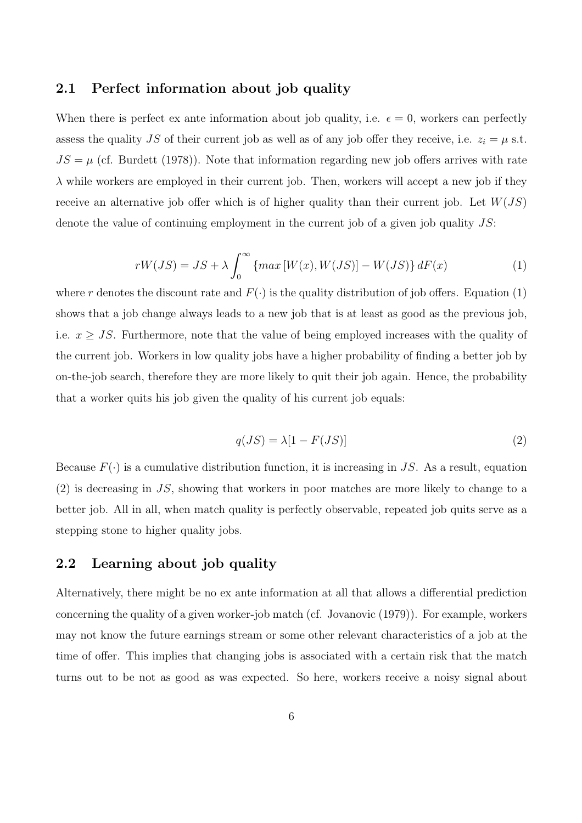#### 2.1 Perfect information about job quality

When there is perfect ex ante information about job quality, i.e.  $\epsilon = 0$ , workers can perfectly assess the quality JS of their current job as well as of any job offer they receive, i.e.  $z_i = \mu$  s.t.  $JS = \mu$  (cf. Burdett (1978)). Note that information regarding new job offers arrives with rate  $\lambda$  while workers are employed in their current job. Then, workers will accept a new job if they receive an alternative job offer which is of higher quality than their current job. Let  $W(JS)$ denote the value of continuing employment in the current job of a given job quality  $JS$ :

$$
rW(JS) = JS + \lambda \int_0^\infty \{ \max[W(x), W(JS)] - W(JS) \} dF(x) \tag{1}
$$

where r denotes the discount rate and  $F(\cdot)$  is the quality distribution of job offers. Equation (1) shows that a job change always leads to a new job that is at least as good as the previous job, i.e.  $x \geq JS$ . Furthermore, note that the value of being employed increases with the quality of the current job. Workers in low quality jobs have a higher probability of finding a better job by on-the-job search, therefore they are more likely to quit their job again. Hence, the probability that a worker quits his job given the quality of his current job equals:

$$
q(JS) = \lambda[1 - F(JS)]\tag{2}
$$

Because  $F(\cdot)$  is a cumulative distribution function, it is increasing in JS. As a result, equation (2) is decreasing in JS, showing that workers in poor matches are more likely to change to a better job. All in all, when match quality is perfectly observable, repeated job quits serve as a stepping stone to higher quality jobs.

#### 2.2 Learning about job quality

Alternatively, there might be no ex ante information at all that allows a differential prediction concerning the quality of a given worker-job match (cf. Jovanovic (1979)). For example, workers may not know the future earnings stream or some other relevant characteristics of a job at the time of offer. This implies that changing jobs is associated with a certain risk that the match turns out to be not as good as was expected. So here, workers receive a noisy signal about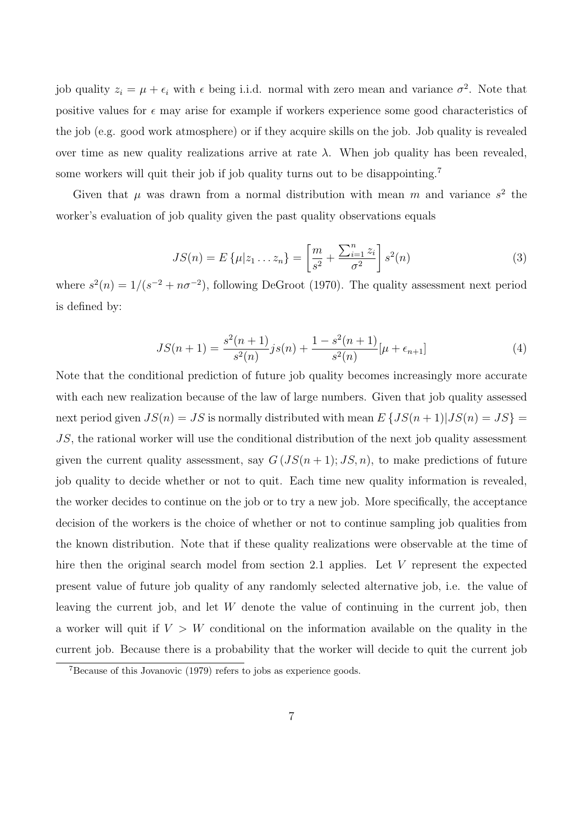job quality  $z_i = \mu + \epsilon_i$  with  $\epsilon$  being i.i.d. normal with zero mean and variance  $\sigma^2$ . Note that positive values for  $\epsilon$  may arise for example if workers experience some good characteristics of the job (e.g. good work atmosphere) or if they acquire skills on the job. Job quality is revealed over time as new quality realizations arrive at rate  $λ$ . When job quality has been revealed. some workers will quit their job if job quality turns out to be disappointing.<sup>7</sup>

Given that  $\mu$  was drawn from a normal distribution with mean m and variance  $s^2$  the worker's evaluation of job quality given the past quality observations equals

$$
JS(n) = E\left\{\mu | z_1 \dots z_n\right\} = \left[\frac{m}{s^2} + \frac{\sum_{i=1}^n z_i}{\sigma^2}\right] s^2(n)
$$
 (3)

where  $s^2(n) = 1/(s^{-2} + n\sigma^{-2})$ , following DeGroot (1970). The quality assessment next period is defined by:

$$
JS(n+1) = \frac{s^2(n+1)}{s^2(n)}js(n) + \frac{1 - s^2(n+1)}{s^2(n)}[\mu + \epsilon_{n+1}]
$$
\n(4)

Note that the conditional prediction of future job quality becomes increasingly more accurate with each new realization because of the law of large numbers. Given that job quality assessed next period given  $JS(n) = JS$  is normally distributed with mean  $E\left\{JS(n+1)|JS(n) = JS\right\}$ JS, the rational worker will use the conditional distribution of the next job quality assessment given the current quality assessment, say  $G(JS(n+1); JS, n)$ , to make predictions of future job quality to decide whether or not to quit. Each time new quality information is revealed, the worker decides to continue on the job or to try a new job. More specifically, the acceptance decision of the workers is the choice of whether or not to continue sampling job qualities from the known distribution. Note that if these quality realizations were observable at the time of hire then the original search model from section 2.1 applies. Let V represent the expected present value of future job quality of any randomly selected alternative job, i.e. the value of leaving the current job, and let W denote the value of continuing in the current job, then a worker will quit if  $V > W$  conditional on the information available on the quality in the current job. Because there is a probability that the worker will decide to quit the current job

<sup>7</sup>Because of this Jovanovic (1979) refers to jobs as experience goods.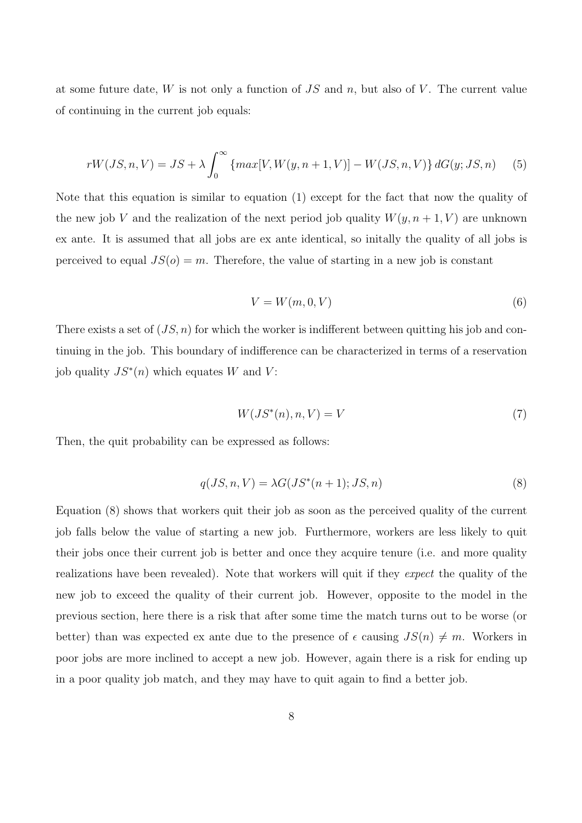at some future date,  $W$  is not only a function of  $JS$  and  $n$ , but also of  $V$ . The current value of continuing in the current job equals:

$$
rW(JS, n, V) = JS + \lambda \int_0^\infty \{ max[V, W(y, n+1, V)] - W(JS, n, V) \} dG(y; JS, n) \tag{5}
$$

Note that this equation is similar to equation (1) except for the fact that now the quality of the new job V and the realization of the next period job quality  $W(y, n + 1, V)$  are unknown ex ante. It is assumed that all jobs are ex ante identical, so initally the quality of all jobs is perceived to equal  $JS(o) = m$ . Therefore, the value of starting in a new job is constant

$$
V = W(m, 0, V) \tag{6}
$$

There exists a set of  $(JS, n)$  for which the worker is indifferent between quitting his job and continuing in the job. This boundary of indifference can be characterized in terms of a reservation job quality  $JS^*(n)$  which equates W and V:

$$
W(JS^*(n), n, V) = V \tag{7}
$$

Then, the quit probability can be expressed as follows:

$$
q(JS, n, V) = \lambda G(JS^*(n+1); JS, n)
$$
\n(8)

Equation (8) shows that workers quit their job as soon as the perceived quality of the current job falls below the value of starting a new job. Furthermore, workers are less likely to quit their jobs once their current job is better and once they acquire tenure (i.e. and more quality realizations have been revealed). Note that workers will quit if they expect the quality of the new job to exceed the quality of their current job. However, opposite to the model in the previous section, here there is a risk that after some time the match turns out to be worse (or better) than was expected ex ante due to the presence of  $\epsilon$  causing  $JS(n) \neq m$ . Workers in poor jobs are more inclined to accept a new job. However, again there is a risk for ending up in a poor quality job match, and they may have to quit again to find a better job.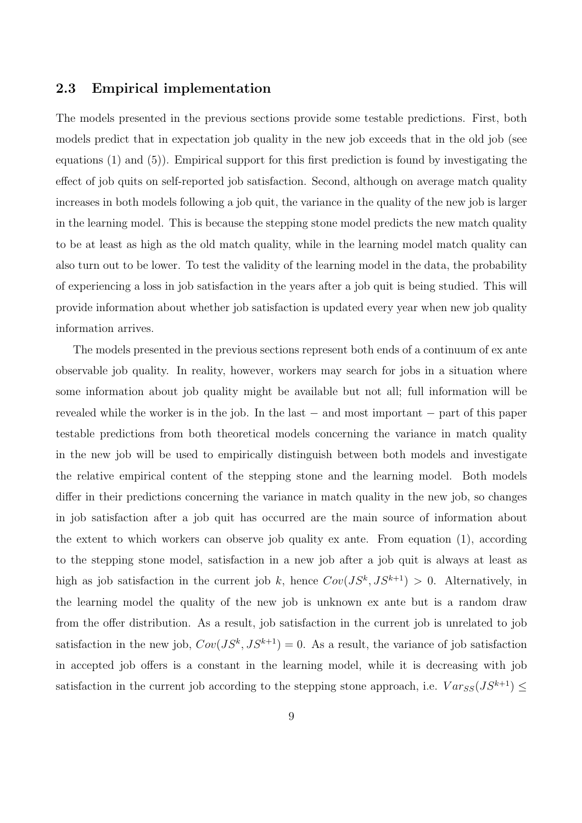#### 2.3 Empirical implementation

The models presented in the previous sections provide some testable predictions. First, both models predict that in expectation job quality in the new job exceeds that in the old job (see equations (1) and (5)). Empirical support for this first prediction is found by investigating the effect of job quits on self-reported job satisfaction. Second, although on average match quality increases in both models following a job quit, the variance in the quality of the new job is larger in the learning model. This is because the stepping stone model predicts the new match quality to be at least as high as the old match quality, while in the learning model match quality can also turn out to be lower. To test the validity of the learning model in the data, the probability of experiencing a loss in job satisfaction in the years after a job quit is being studied. This will provide information about whether job satisfaction is updated every year when new job quality information arrives.

The models presented in the previous sections represent both ends of a continuum of ex ante observable job quality. In reality, however, workers may search for jobs in a situation where some information about job quality might be available but not all; full information will be revealed while the worker is in the job. In the last − and most important − part of this paper testable predictions from both theoretical models concerning the variance in match quality in the new job will be used to empirically distinguish between both models and investigate the relative empirical content of the stepping stone and the learning model. Both models differ in their predictions concerning the variance in match quality in the new job, so changes in job satisfaction after a job quit has occurred are the main source of information about the extent to which workers can observe job quality ex ante. From equation (1), according to the stepping stone model, satisfaction in a new job after a job quit is always at least as high as job satisfaction in the current job k, hence  $Cov(JS^k, JS^{k+1}) > 0$ . Alternatively, in the learning model the quality of the new job is unknown ex ante but is a random draw from the offer distribution. As a result, job satisfaction in the current job is unrelated to job satisfaction in the new job,  $Cov(JS^k, JS^{k+1}) = 0$ . As a result, the variance of job satisfaction in accepted job offers is a constant in the learning model, while it is decreasing with job satisfaction in the current job according to the stepping stone approach, i.e.  $Var_{SS}(JS^{k+1}) \leq$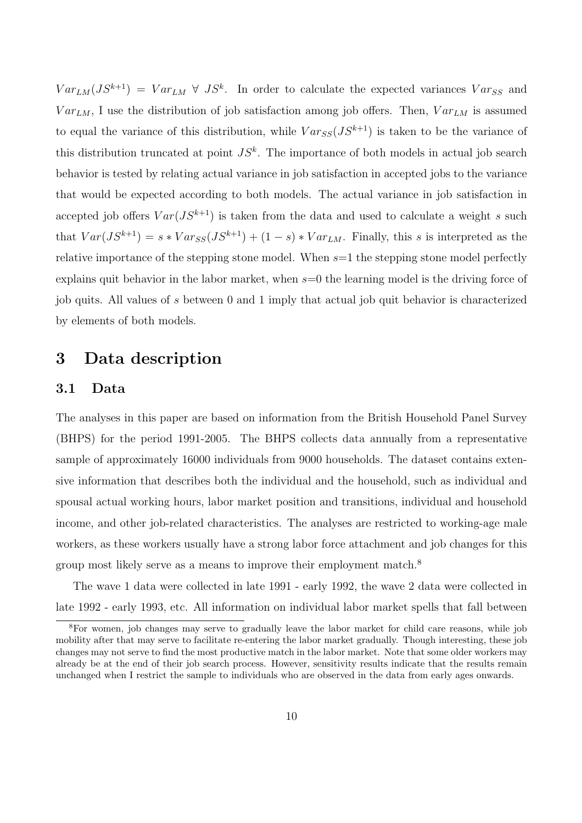$Var_{LM}(JS^{k+1}) = Var_{LM} \ \forall \ JS^k$ . In order to calculate the expected variances  $Var_{SS}$  and  $Var_{LM}$ , I use the distribution of job satisfaction among job offers. Then,  $Var_{LM}$  is assumed to equal the variance of this distribution, while  $Var_{SS}(JS^{k+1})$  is taken to be the variance of this distribution truncated at point  $JS<sup>k</sup>$ . The importance of both models in actual job search behavior is tested by relating actual variance in job satisfaction in accepted jobs to the variance that would be expected according to both models. The actual variance in job satisfaction in accepted job offers  $Var(JS^{k+1})$  is taken from the data and used to calculate a weight s such that  $Var(JS^{k+1}) = s * Var_{SS}(JS^{k+1}) + (1 - s) * Var_{LM}$ . Finally, this s is interpreted as the relative importance of the stepping stone model. When  $s=1$  the stepping stone model perfectly explains quit behavior in the labor market, when  $s=0$  the learning model is the driving force of job quits. All values of s between 0 and 1 imply that actual job quit behavior is characterized by elements of both models.

# 3 Data description

#### 3.1 Data

The analyses in this paper are based on information from the British Household Panel Survey (BHPS) for the period 1991-2005. The BHPS collects data annually from a representative sample of approximately 16000 individuals from 9000 households. The dataset contains extensive information that describes both the individual and the household, such as individual and spousal actual working hours, labor market position and transitions, individual and household income, and other job-related characteristics. The analyses are restricted to working-age male workers, as these workers usually have a strong labor force attachment and job changes for this group most likely serve as a means to improve their employment match.<sup>8</sup>

The wave 1 data were collected in late 1991 - early 1992, the wave 2 data were collected in late 1992 - early 1993, etc. All information on individual labor market spells that fall between

<sup>8</sup>For women, job changes may serve to gradually leave the labor market for child care reasons, while job mobility after that may serve to facilitate re-entering the labor market gradually. Though interesting, these job changes may not serve to find the most productive match in the labor market. Note that some older workers may already be at the end of their job search process. However, sensitivity results indicate that the results remain unchanged when I restrict the sample to individuals who are observed in the data from early ages onwards.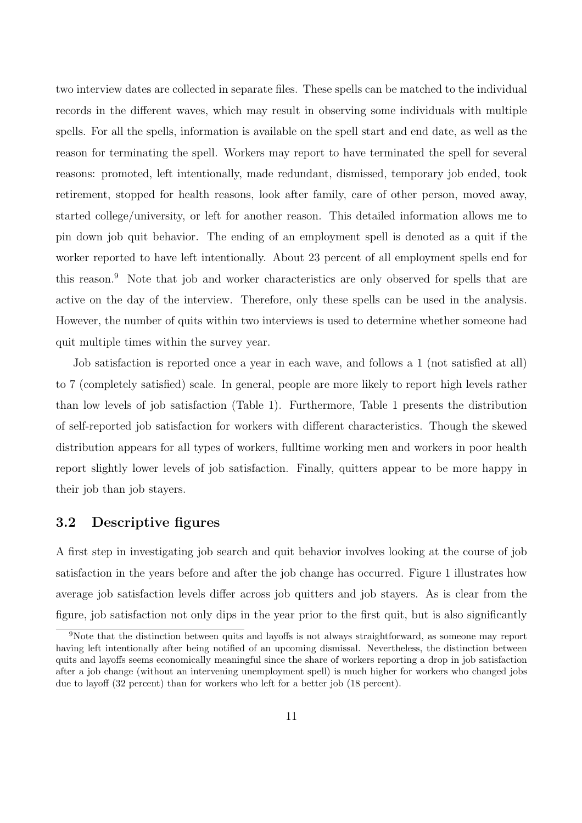two interview dates are collected in separate files. These spells can be matched to the individual records in the different waves, which may result in observing some individuals with multiple spells. For all the spells, information is available on the spell start and end date, as well as the reason for terminating the spell. Workers may report to have terminated the spell for several reasons: promoted, left intentionally, made redundant, dismissed, temporary job ended, took retirement, stopped for health reasons, look after family, care of other person, moved away, started college/university, or left for another reason. This detailed information allows me to pin down job quit behavior. The ending of an employment spell is denoted as a quit if the worker reported to have left intentionally. About 23 percent of all employment spells end for this reason.<sup>9</sup> Note that job and worker characteristics are only observed for spells that are active on the day of the interview. Therefore, only these spells can be used in the analysis. However, the number of quits within two interviews is used to determine whether someone had quit multiple times within the survey year.

Job satisfaction is reported once a year in each wave, and follows a 1 (not satisfied at all) to 7 (completely satisfied) scale. In general, people are more likely to report high levels rather than low levels of job satisfaction (Table 1). Furthermore, Table 1 presents the distribution of self-reported job satisfaction for workers with different characteristics. Though the skewed distribution appears for all types of workers, fulltime working men and workers in poor health report slightly lower levels of job satisfaction. Finally, quitters appear to be more happy in their job than job stayers.

#### 3.2 Descriptive figures

A first step in investigating job search and quit behavior involves looking at the course of job satisfaction in the years before and after the job change has occurred. Figure 1 illustrates how average job satisfaction levels differ across job quitters and job stayers. As is clear from the figure, job satisfaction not only dips in the year prior to the first quit, but is also significantly

<sup>9</sup>Note that the distinction between quits and layoffs is not always straightforward, as someone may report having left intentionally after being notified of an upcoming dismissal. Nevertheless, the distinction between quits and layoffs seems economically meaningful since the share of workers reporting a drop in job satisfaction after a job change (without an intervening unemployment spell) is much higher for workers who changed jobs due to layoff (32 percent) than for workers who left for a better job (18 percent).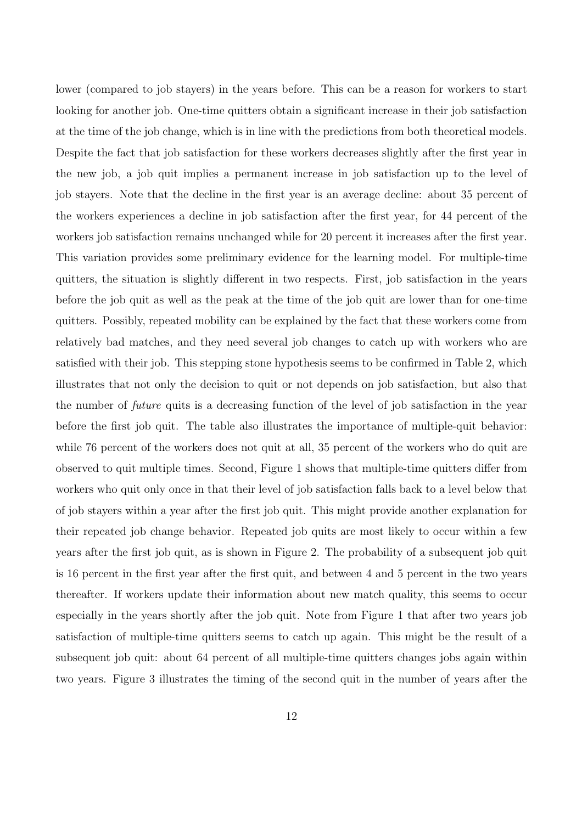lower (compared to job stayers) in the years before. This can be a reason for workers to start looking for another job. One-time quitters obtain a significant increase in their job satisfaction at the time of the job change, which is in line with the predictions from both theoretical models. Despite the fact that job satisfaction for these workers decreases slightly after the first year in the new job, a job quit implies a permanent increase in job satisfaction up to the level of job stayers. Note that the decline in the first year is an average decline: about 35 percent of the workers experiences a decline in job satisfaction after the first year, for 44 percent of the workers job satisfaction remains unchanged while for 20 percent it increases after the first year. This variation provides some preliminary evidence for the learning model. For multiple-time quitters, the situation is slightly different in two respects. First, job satisfaction in the years before the job quit as well as the peak at the time of the job quit are lower than for one-time quitters. Possibly, repeated mobility can be explained by the fact that these workers come from relatively bad matches, and they need several job changes to catch up with workers who are satisfied with their job. This stepping stone hypothesis seems to be confirmed in Table 2, which illustrates that not only the decision to quit or not depends on job satisfaction, but also that the number of future quits is a decreasing function of the level of job satisfaction in the year before the first job quit. The table also illustrates the importance of multiple-quit behavior: while 76 percent of the workers does not quit at all, 35 percent of the workers who do quit are observed to quit multiple times. Second, Figure 1 shows that multiple-time quitters differ from workers who quit only once in that their level of job satisfaction falls back to a level below that of job stayers within a year after the first job quit. This might provide another explanation for their repeated job change behavior. Repeated job quits are most likely to occur within a few years after the first job quit, as is shown in Figure 2. The probability of a subsequent job quit is 16 percent in the first year after the first quit, and between 4 and 5 percent in the two years thereafter. If workers update their information about new match quality, this seems to occur especially in the years shortly after the job quit. Note from Figure 1 that after two years job satisfaction of multiple-time quitters seems to catch up again. This might be the result of a subsequent job quit: about 64 percent of all multiple-time quitters changes jobs again within two years. Figure 3 illustrates the timing of the second quit in the number of years after the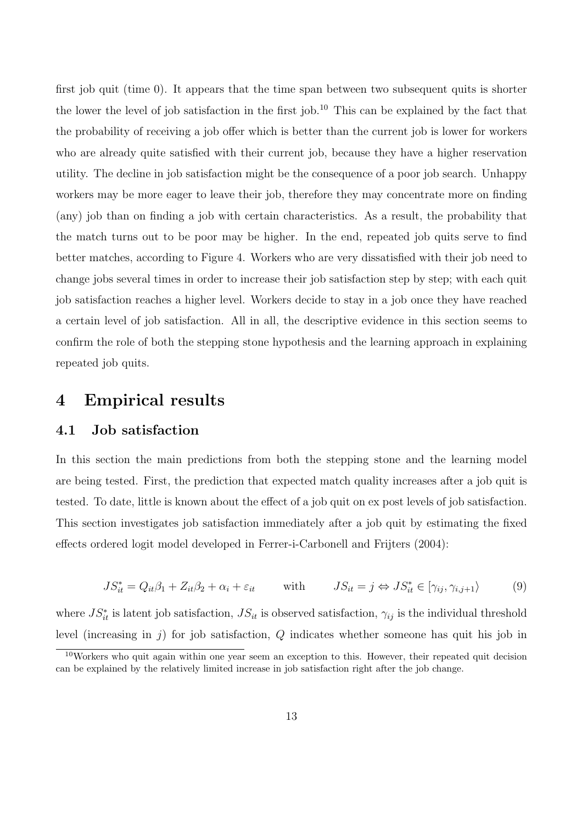first job quit (time 0). It appears that the time span between two subsequent quits is shorter the lower the level of job satisfaction in the first job.<sup>10</sup> This can be explained by the fact that the probability of receiving a job offer which is better than the current job is lower for workers who are already quite satisfied with their current job, because they have a higher reservation utility. The decline in job satisfaction might be the consequence of a poor job search. Unhappy workers may be more eager to leave their job, therefore they may concentrate more on finding (any) job than on finding a job with certain characteristics. As a result, the probability that the match turns out to be poor may be higher. In the end, repeated job quits serve to find better matches, according to Figure 4. Workers who are very dissatisfied with their job need to change jobs several times in order to increase their job satisfaction step by step; with each quit job satisfaction reaches a higher level. Workers decide to stay in a job once they have reached a certain level of job satisfaction. All in all, the descriptive evidence in this section seems to confirm the role of both the stepping stone hypothesis and the learning approach in explaining repeated job quits.

### 4 Empirical results

#### 4.1 Job satisfaction

In this section the main predictions from both the stepping stone and the learning model are being tested. First, the prediction that expected match quality increases after a job quit is tested. To date, little is known about the effect of a job quit on ex post levels of job satisfaction. This section investigates job satisfaction immediately after a job quit by estimating the fixed effects ordered logit model developed in Ferrer-i-Carbonell and Frijters (2004):

$$
JS_{it}^* = Q_{it}\beta_1 + Z_{it}\beta_2 + \alpha_i + \varepsilon_{it} \qquad \text{with} \qquad JS_{it} = j \Leftrightarrow JS_{it}^* \in [\gamma_{ij}, \gamma_{i,j+1}\rangle \tag{9}
$$

where  $JS_{it}^*$  is latent job satisfaction,  $JS_{it}$  is observed satisfaction,  $\gamma_{ij}$  is the individual threshold level (increasing in  $j$ ) for job satisfaction,  $Q$  indicates whether someone has quit his job in

<sup>&</sup>lt;sup>10</sup>Workers who quit again within one year seem an exception to this. However, their repeated quit decision can be explained by the relatively limited increase in job satisfaction right after the job change.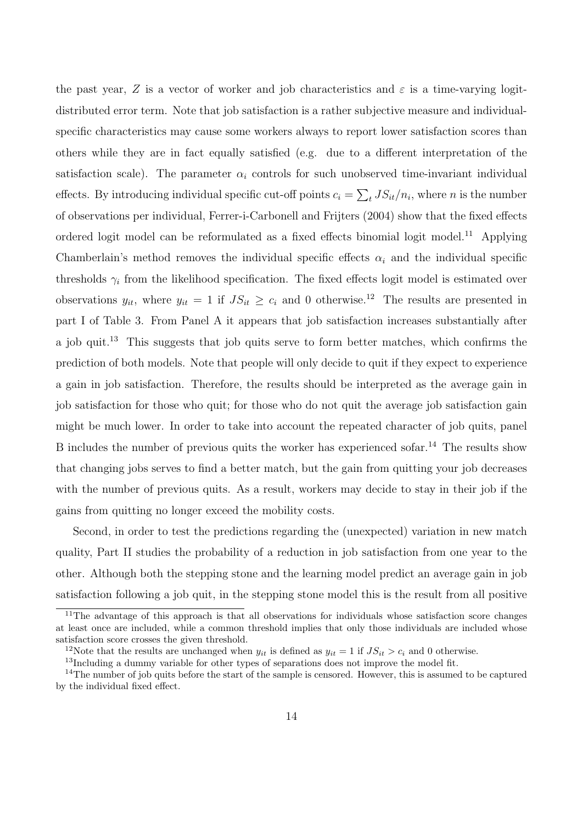the past year, Z is a vector of worker and job characteristics and  $\varepsilon$  is a time-varying logitdistributed error term. Note that job satisfaction is a rather subjective measure and individualspecific characteristics may cause some workers always to report lower satisfaction scores than others while they are in fact equally satisfied (e.g. due to a different interpretation of the satisfaction scale). The parameter  $\alpha_i$  controls for such unobserved time-invariant individual effects. By introducing individual specific cut-off points  $c_i =$  $\overline{ }$  $t$ ,  $JS_{it}/n_i$ , where *n* is the number of observations per individual, Ferrer-i-Carbonell and Frijters (2004) show that the fixed effects ordered logit model can be reformulated as a fixed effects binomial logit model.<sup>11</sup> Applying Chamberlain's method removes the individual specific effects  $\alpha_i$  and the individual specific thresholds  $\gamma_i$  from the likelihood specification. The fixed effects logit model is estimated over observations  $y_{it}$ , where  $y_{it} = 1$  if  $JS_{it} \ge c_i$  and 0 otherwise.<sup>12</sup> The results are presented in part I of Table 3. From Panel A it appears that job satisfaction increases substantially after a job quit.<sup>13</sup> This suggests that job quits serve to form better matches, which confirms the prediction of both models. Note that people will only decide to quit if they expect to experience a gain in job satisfaction. Therefore, the results should be interpreted as the average gain in job satisfaction for those who quit; for those who do not quit the average job satisfaction gain might be much lower. In order to take into account the repeated character of job quits, panel B includes the number of previous quits the worker has experienced sofar.<sup>14</sup> The results show that changing jobs serves to find a better match, but the gain from quitting your job decreases with the number of previous quits. As a result, workers may decide to stay in their job if the gains from quitting no longer exceed the mobility costs.

Second, in order to test the predictions regarding the (unexpected) variation in new match quality, Part II studies the probability of a reduction in job satisfaction from one year to the other. Although both the stepping stone and the learning model predict an average gain in job satisfaction following a job quit, in the stepping stone model this is the result from all positive

 $11$ The advantage of this approach is that all observations for individuals whose satisfaction score changes at least once are included, while a common threshold implies that only those individuals are included whose satisfaction score crosses the given threshold.

<sup>&</sup>lt;sup>12</sup>Note that the results are unchanged when  $y_{it}$  is defined as  $y_{it} = 1$  if  $JS_{it} > c_i$  and 0 otherwise.

<sup>&</sup>lt;sup>13</sup>Including a dummy variable for other types of separations does not improve the model fit.

<sup>&</sup>lt;sup>14</sup>The number of job quits before the start of the sample is censored. However, this is assumed to be captured by the individual fixed effect.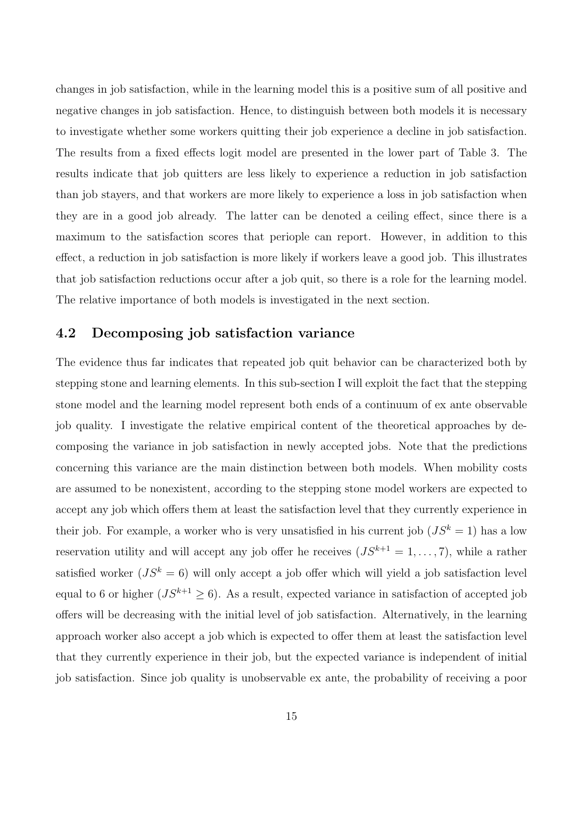changes in job satisfaction, while in the learning model this is a positive sum of all positive and negative changes in job satisfaction. Hence, to distinguish between both models it is necessary to investigate whether some workers quitting their job experience a decline in job satisfaction. The results from a fixed effects logit model are presented in the lower part of Table 3. The results indicate that job quitters are less likely to experience a reduction in job satisfaction than job stayers, and that workers are more likely to experience a loss in job satisfaction when they are in a good job already. The latter can be denoted a ceiling effect, since there is a maximum to the satisfaction scores that periople can report. However, in addition to this effect, a reduction in job satisfaction is more likely if workers leave a good job. This illustrates that job satisfaction reductions occur after a job quit, so there is a role for the learning model. The relative importance of both models is investigated in the next section.

#### 4.2 Decomposing job satisfaction variance

The evidence thus far indicates that repeated job quit behavior can be characterized both by stepping stone and learning elements. In this sub-section I will exploit the fact that the stepping stone model and the learning model represent both ends of a continuum of ex ante observable job quality. I investigate the relative empirical content of the theoretical approaches by decomposing the variance in job satisfaction in newly accepted jobs. Note that the predictions concerning this variance are the main distinction between both models. When mobility costs are assumed to be nonexistent, according to the stepping stone model workers are expected to accept any job which offers them at least the satisfaction level that they currently experience in their job. For example, a worker who is very unsatisfied in his current job  $(JS^k = 1)$  has a low reservation utility and will accept any job offer he receives  $(JS^{k+1} = 1, \ldots, 7)$ , while a rather satisfied worker  $(JS^k = 6)$  will only accept a job offer which will yield a job satisfaction level equal to 6 or higher  $(JS^{k+1} \geq 6)$ . As a result, expected variance in satisfaction of accepted job offers will be decreasing with the initial level of job satisfaction. Alternatively, in the learning approach worker also accept a job which is expected to offer them at least the satisfaction level that they currently experience in their job, but the expected variance is independent of initial job satisfaction. Since job quality is unobservable ex ante, the probability of receiving a poor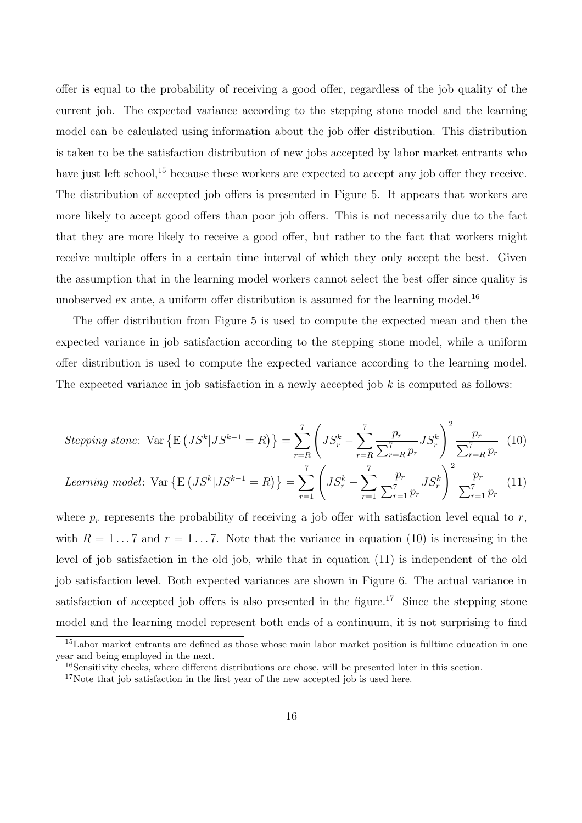offer is equal to the probability of receiving a good offer, regardless of the job quality of the current job. The expected variance according to the stepping stone model and the learning model can be calculated using information about the job offer distribution. This distribution is taken to be the satisfaction distribution of new jobs accepted by labor market entrants who have just left school,<sup>15</sup> because these workers are expected to accept any job offer they receive. The distribution of accepted job offers is presented in Figure 5. It appears that workers are more likely to accept good offers than poor job offers. This is not necessarily due to the fact that they are more likely to receive a good offer, but rather to the fact that workers might receive multiple offers in a certain time interval of which they only accept the best. Given the assumption that in the learning model workers cannot select the best offer since quality is unobserved ex ante, a uniform offer distribution is assumed for the learning model.<sup>16</sup>

The offer distribution from Figure 5 is used to compute the expected mean and then the expected variance in job satisfaction according to the stepping stone model, while a uniform offer distribution is used to compute the expected variance according to the learning model. The expected variance in job satisfaction in a newly accepted job  $k$  is computed as follows:

Stepping stone: Var 
$$
\{E\left(JS^{k}|JS^{k-1} = R\right)\}\
$$
 =  $\sum_{r=R}^{7} \left(JS_{r}^{k} - \sum_{r=R}^{7} \frac{p_{r}}{\sum_{r=R}^{7} p_{r}} JS_{r}^{k}\right)^{2} \frac{p_{r}}{\sum_{r=R}^{7} p_{r}}$  (10)

Learning model: Var 
$$
\{E\left(JS^{k}|JS^{k-1} = R\right)\}\
$$
 =  $\sum_{r=1}^{7} \left(JS^{k}_{r} - \sum_{r=1}^{7} \frac{p_{r}}{\sum_{r=1}^{7} p_{r}} JS^{k}_{r}\right)^{2} \frac{p_{r}}{\sum_{r=1}^{7} p_{r}}$  (11)

where  $p_r$  represents the probability of receiving a job offer with satisfaction level equal to r, with  $R = 1...7$  and  $r = 1...7$ . Note that the variance in equation (10) is increasing in the level of job satisfaction in the old job, while that in equation (11) is independent of the old job satisfaction level. Both expected variances are shown in Figure 6. The actual variance in satisfaction of accepted job offers is also presented in the figure.<sup>17</sup> Since the stepping stone model and the learning model represent both ends of a continuum, it is not surprising to find

<sup>&</sup>lt;sup>15</sup>Labor market entrants are defined as those whose main labor market position is fulltime education in one year and being employed in the next.

<sup>&</sup>lt;sup>16</sup>Sensitivity checks, where different distributions are chose, will be presented later in this section.

 $17$ Note that job satisfaction in the first year of the new accepted job is used here.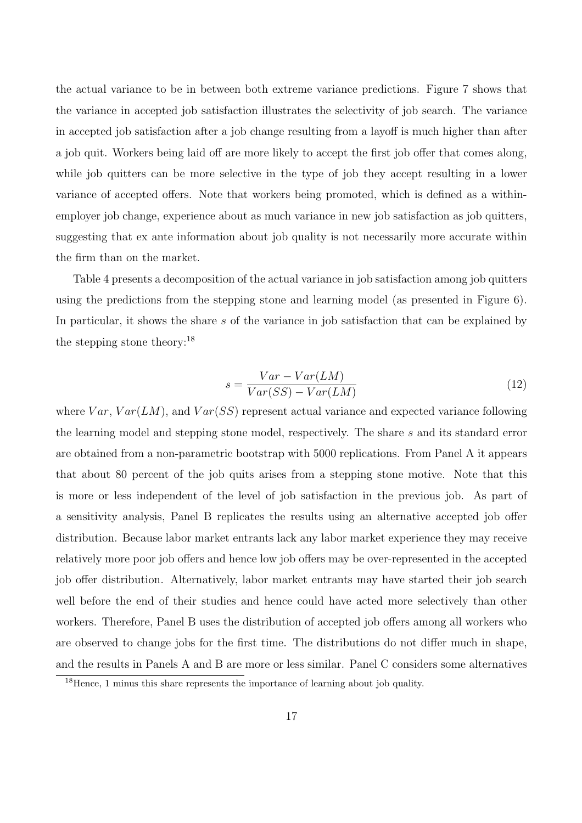the actual variance to be in between both extreme variance predictions. Figure 7 shows that the variance in accepted job satisfaction illustrates the selectivity of job search. The variance in accepted job satisfaction after a job change resulting from a layoff is much higher than after a job quit. Workers being laid off are more likely to accept the first job offer that comes along, while job quitters can be more selective in the type of job they accept resulting in a lower variance of accepted offers. Note that workers being promoted, which is defined as a withinemployer job change, experience about as much variance in new job satisfaction as job quitters, suggesting that ex ante information about job quality is not necessarily more accurate within the firm than on the market.

Table 4 presents a decomposition of the actual variance in job satisfaction among job quitters using the predictions from the stepping stone and learning model (as presented in Figure 6). In particular, it shows the share s of the variance in job satisfaction that can be explained by the stepping stone theory:<sup>18</sup>

$$
s = \frac{Var - Var(LM)}{Var(SS) - Var(LM)}
$$
\n<sup>(12)</sup>

where  $Var, Var(LM)$ , and  $Var(SS)$  represent actual variance and expected variance following the learning model and stepping stone model, respectively. The share s and its standard error are obtained from a non-parametric bootstrap with 5000 replications. From Panel A it appears that about 80 percent of the job quits arises from a stepping stone motive. Note that this is more or less independent of the level of job satisfaction in the previous job. As part of a sensitivity analysis, Panel B replicates the results using an alternative accepted job offer distribution. Because labor market entrants lack any labor market experience they may receive relatively more poor job offers and hence low job offers may be over-represented in the accepted job offer distribution. Alternatively, labor market entrants may have started their job search well before the end of their studies and hence could have acted more selectively than other workers. Therefore, Panel B uses the distribution of accepted job offers among all workers who are observed to change jobs for the first time. The distributions do not differ much in shape, and the results in Panels A and B are more or less similar. Panel C considers some alternatives

<sup>&</sup>lt;sup>18</sup>Hence, 1 minus this share represents the importance of learning about job quality.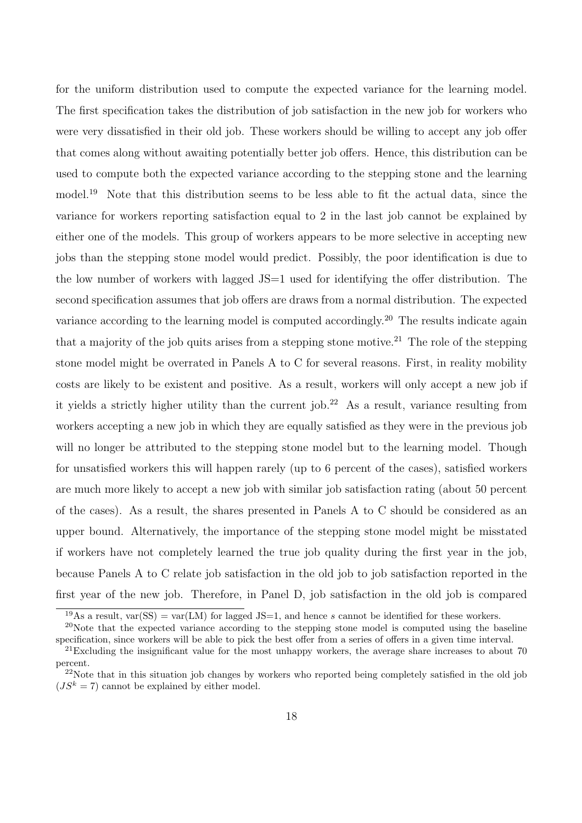for the uniform distribution used to compute the expected variance for the learning model. The first specification takes the distribution of job satisfaction in the new job for workers who were very dissatisfied in their old job. These workers should be willing to accept any job offer that comes along without awaiting potentially better job offers. Hence, this distribution can be used to compute both the expected variance according to the stepping stone and the learning model.<sup>19</sup> Note that this distribution seems to be less able to fit the actual data, since the variance for workers reporting satisfaction equal to 2 in the last job cannot be explained by either one of the models. This group of workers appears to be more selective in accepting new jobs than the stepping stone model would predict. Possibly, the poor identification is due to the low number of workers with lagged JS=1 used for identifying the offer distribution. The second specification assumes that job offers are draws from a normal distribution. The expected variance according to the learning model is computed accordingly.<sup>20</sup> The results indicate again that a majority of the job quits arises from a stepping stone motive.<sup>21</sup> The role of the stepping stone model might be overrated in Panels A to C for several reasons. First, in reality mobility costs are likely to be existent and positive. As a result, workers will only accept a new job if it yields a strictly higher utility than the current job.<sup>22</sup> As a result, variance resulting from workers accepting a new job in which they are equally satisfied as they were in the previous job will no longer be attributed to the stepping stone model but to the learning model. Though for unsatisfied workers this will happen rarely (up to 6 percent of the cases), satisfied workers are much more likely to accept a new job with similar job satisfaction rating (about 50 percent of the cases). As a result, the shares presented in Panels A to C should be considered as an upper bound. Alternatively, the importance of the stepping stone model might be misstated if workers have not completely learned the true job quality during the first year in the job, because Panels A to C relate job satisfaction in the old job to job satisfaction reported in the first year of the new job. Therefore, in Panel D, job satisfaction in the old job is compared

<sup>&</sup>lt;sup>19</sup>As a result, var(SS) = var(LM) for lagged JS=1, and hence s cannot be identified for these workers.

 $20$ Note that the expected variance according to the stepping stone model is computed using the baseline specification, since workers will be able to pick the best offer from a series of offers in a given time interval.

<sup>&</sup>lt;sup>21</sup>Excluding the insignificant value for the most unhappy workers, the average share increases to about 70 percent.

<sup>&</sup>lt;sup>22</sup>Note that in this situation job changes by workers who reported being completely satisfied in the old job  $(JS^k = 7)$  cannot be explained by either model.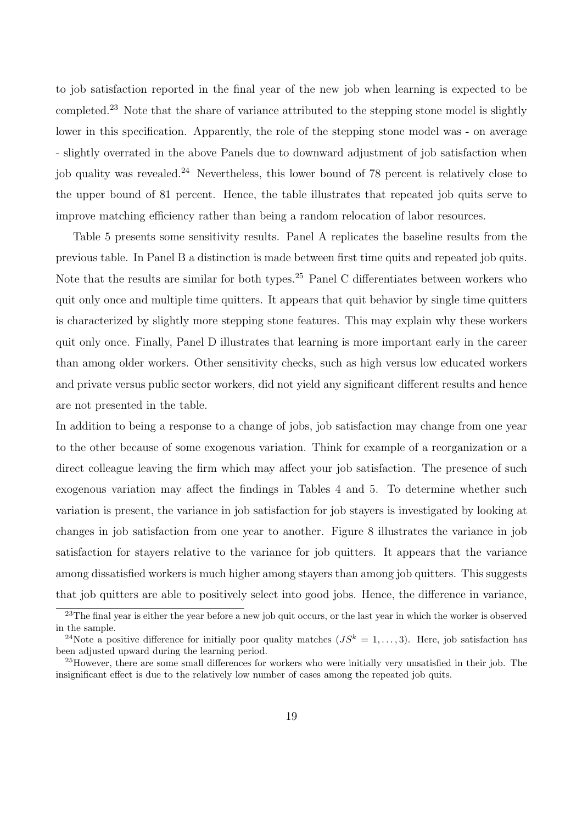to job satisfaction reported in the final year of the new job when learning is expected to be completed.<sup>23</sup> Note that the share of variance attributed to the stepping stone model is slightly lower in this specification. Apparently, the role of the stepping stone model was - on average - slightly overrated in the above Panels due to downward adjustment of job satisfaction when job quality was revealed.<sup>24</sup> Nevertheless, this lower bound of 78 percent is relatively close to the upper bound of 81 percent. Hence, the table illustrates that repeated job quits serve to improve matching efficiency rather than being a random relocation of labor resources.

Table 5 presents some sensitivity results. Panel A replicates the baseline results from the previous table. In Panel B a distinction is made between first time quits and repeated job quits. Note that the results are similar for both types.<sup>25</sup> Panel C differentiates between workers who quit only once and multiple time quitters. It appears that quit behavior by single time quitters is characterized by slightly more stepping stone features. This may explain why these workers quit only once. Finally, Panel D illustrates that learning is more important early in the career than among older workers. Other sensitivity checks, such as high versus low educated workers and private versus public sector workers, did not yield any significant different results and hence are not presented in the table.

In addition to being a response to a change of jobs, job satisfaction may change from one year to the other because of some exogenous variation. Think for example of a reorganization or a direct colleague leaving the firm which may affect your job satisfaction. The presence of such exogenous variation may affect the findings in Tables 4 and 5. To determine whether such variation is present, the variance in job satisfaction for job stayers is investigated by looking at changes in job satisfaction from one year to another. Figure 8 illustrates the variance in job satisfaction for stayers relative to the variance for job quitters. It appears that the variance among dissatisfied workers is much higher among stayers than among job quitters. This suggests that job quitters are able to positively select into good jobs. Hence, the difference in variance,

<sup>&</sup>lt;sup>23</sup>The final year is either the year before a new job quit occurs, or the last year in which the worker is observed in the sample.

<sup>&</sup>lt;sup>24</sup>Note a positive difference for initially poor quality matches  $(JS^k = 1, \ldots, 3)$ . Here, job satisfaction has been adjusted upward during the learning period.

<sup>&</sup>lt;sup>25</sup>However, there are some small differences for workers who were initially very unsatisfied in their job. The insignificant effect is due to the relatively low number of cases among the repeated job quits.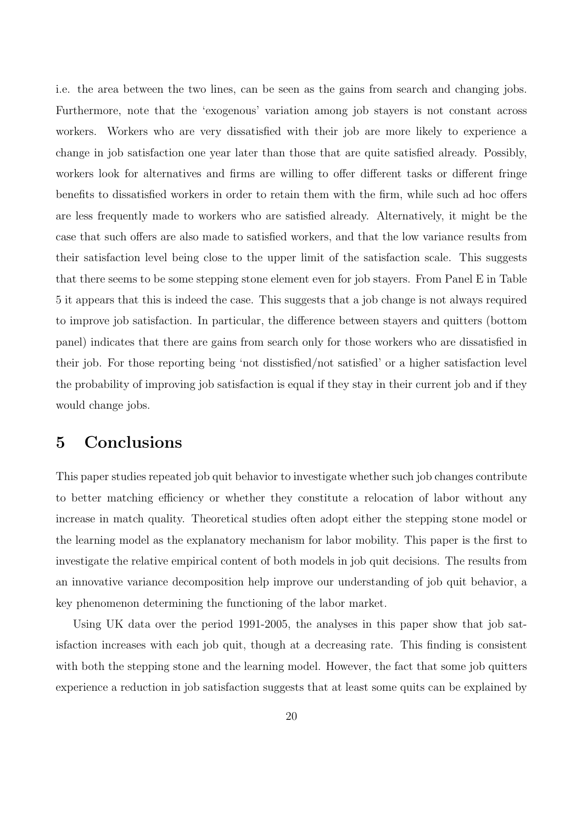i.e. the area between the two lines, can be seen as the gains from search and changing jobs. Furthermore, note that the 'exogenous' variation among job stayers is not constant across workers. Workers who are very dissatisfied with their job are more likely to experience a change in job satisfaction one year later than those that are quite satisfied already. Possibly, workers look for alternatives and firms are willing to offer different tasks or different fringe benefits to dissatisfied workers in order to retain them with the firm, while such ad hoc offers are less frequently made to workers who are satisfied already. Alternatively, it might be the case that such offers are also made to satisfied workers, and that the low variance results from their satisfaction level being close to the upper limit of the satisfaction scale. This suggests that there seems to be some stepping stone element even for job stayers. From Panel E in Table 5 it appears that this is indeed the case. This suggests that a job change is not always required to improve job satisfaction. In particular, the difference between stayers and quitters (bottom panel) indicates that there are gains from search only for those workers who are dissatisfied in their job. For those reporting being 'not disstisfied/not satisfied' or a higher satisfaction level the probability of improving job satisfaction is equal if they stay in their current job and if they would change jobs.

### 5 Conclusions

This paper studies repeated job quit behavior to investigate whether such job changes contribute to better matching efficiency or whether they constitute a relocation of labor without any increase in match quality. Theoretical studies often adopt either the stepping stone model or the learning model as the explanatory mechanism for labor mobility. This paper is the first to investigate the relative empirical content of both models in job quit decisions. The results from an innovative variance decomposition help improve our understanding of job quit behavior, a key phenomenon determining the functioning of the labor market.

Using UK data over the period 1991-2005, the analyses in this paper show that job satisfaction increases with each job quit, though at a decreasing rate. This finding is consistent with both the stepping stone and the learning model. However, the fact that some job quitters experience a reduction in job satisfaction suggests that at least some quits can be explained by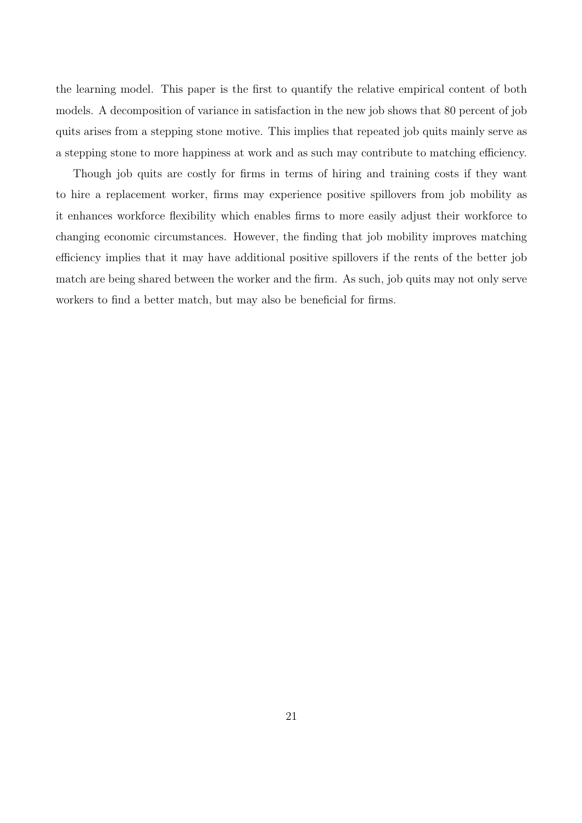the learning model. This paper is the first to quantify the relative empirical content of both models. A decomposition of variance in satisfaction in the new job shows that 80 percent of job quits arises from a stepping stone motive. This implies that repeated job quits mainly serve as a stepping stone to more happiness at work and as such may contribute to matching efficiency.

Though job quits are costly for firms in terms of hiring and training costs if they want to hire a replacement worker, firms may experience positive spillovers from job mobility as it enhances workforce flexibility which enables firms to more easily adjust their workforce to changing economic circumstances. However, the finding that job mobility improves matching efficiency implies that it may have additional positive spillovers if the rents of the better job match are being shared between the worker and the firm. As such, job quits may not only serve workers to find a better match, but may also be beneficial for firms.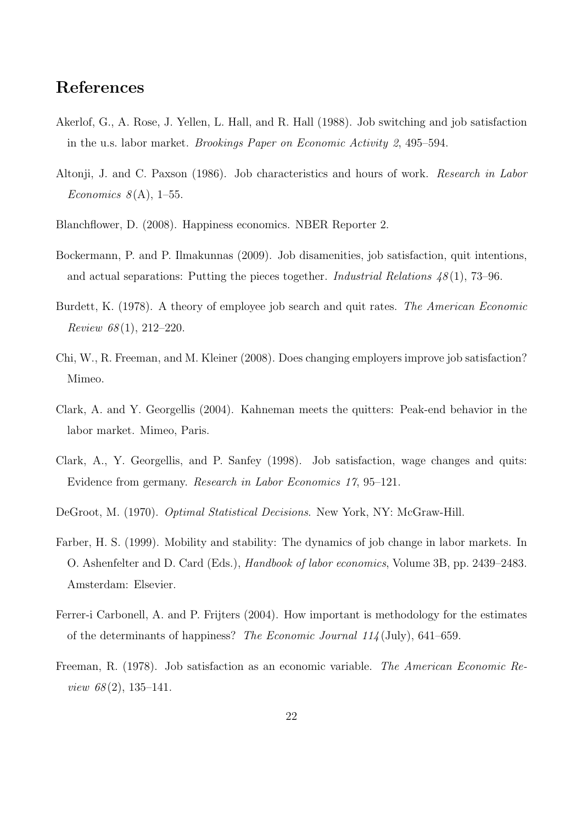# References

- Akerlof, G., A. Rose, J. Yellen, L. Hall, and R. Hall (1988). Job switching and job satisfaction in the u.s. labor market. Brookings Paper on Economic Activity 2, 495–594.
- Altonji, J. and C. Paxson (1986). Job characteristics and hours of work. Research in Labor Economics  $8(A)$ , 1–55.
- Blanchflower, D. (2008). Happiness economics. NBER Reporter 2.
- Bockermann, P. and P. Ilmakunnas (2009). Job disamenities, job satisfaction, quit intentions, and actual separations: Putting the pieces together. *Industrial Relations 48* (1), 73–96.
- Burdett, K. (1978). A theory of employee job search and quit rates. The American Economic  $Review 68(1), 212-220.$
- Chi, W., R. Freeman, and M. Kleiner (2008). Does changing employers improve job satisfaction? Mimeo.
- Clark, A. and Y. Georgellis (2004). Kahneman meets the quitters: Peak-end behavior in the labor market. Mimeo, Paris.
- Clark, A., Y. Georgellis, and P. Sanfey (1998). Job satisfaction, wage changes and quits: Evidence from germany. Research in Labor Economics 17, 95–121.
- DeGroot, M. (1970). Optimal Statistical Decisions. New York, NY: McGraw-Hill.
- Farber, H. S. (1999). Mobility and stability: The dynamics of job change in labor markets. In O. Ashenfelter and D. Card (Eds.), Handbook of labor economics, Volume 3B, pp. 2439–2483. Amsterdam: Elsevier.
- Ferrer-i Carbonell, A. and P. Frijters (2004). How important is methodology for the estimates of the determinants of happiness? The Economic Journal 114 (July), 641–659.
- Freeman, R. (1978). Job satisfaction as an economic variable. The American Economic Review  $68(2)$ , 135-141.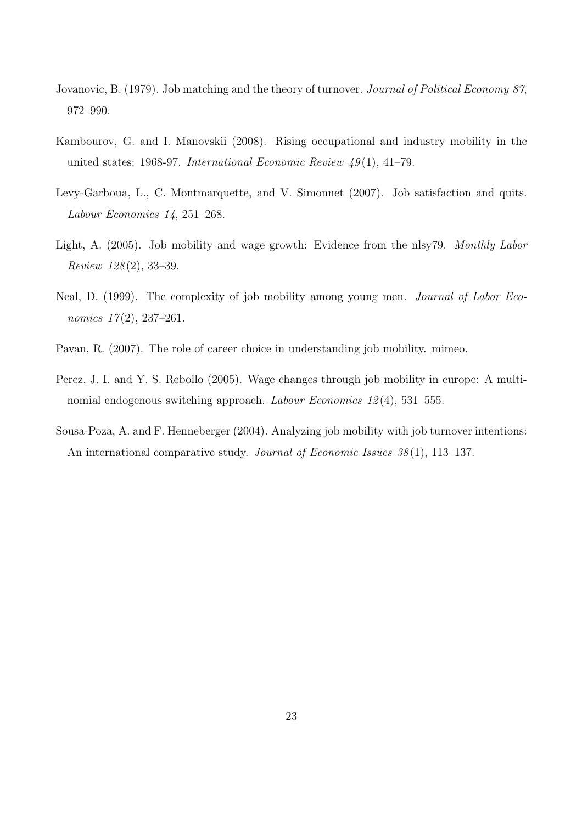- Jovanovic, B. (1979). Job matching and the theory of turnover. *Journal of Political Economy 87*, 972–990.
- Kambourov, G. and I. Manovskii (2008). Rising occupational and industry mobility in the united states: 1968-97. International Economic Review  $49(1)$ , 41-79.
- Levy-Garboua, L., C. Montmarquette, and V. Simonnet (2007). Job satisfaction and quits. Labour Economics 14, 251–268.
- Light, A. (2005). Job mobility and wage growth: Evidence from the nlsy79. Monthly Labor Review 128 (2), 33–39.
- Neal, D. (1999). The complexity of job mobility among young men. Journal of Labor Economics  $17(2)$ , 237-261.
- Pavan, R. (2007). The role of career choice in understanding job mobility. mimeo.
- Perez, J. I. and Y. S. Rebollo (2005). Wage changes through job mobility in europe: A multinomial endogenous switching approach. Labour Economics 12 (4), 531–555.
- Sousa-Poza, A. and F. Henneberger (2004). Analyzing job mobility with job turnover intentions: An international comparative study. Journal of Economic Issues 38(1), 113–137.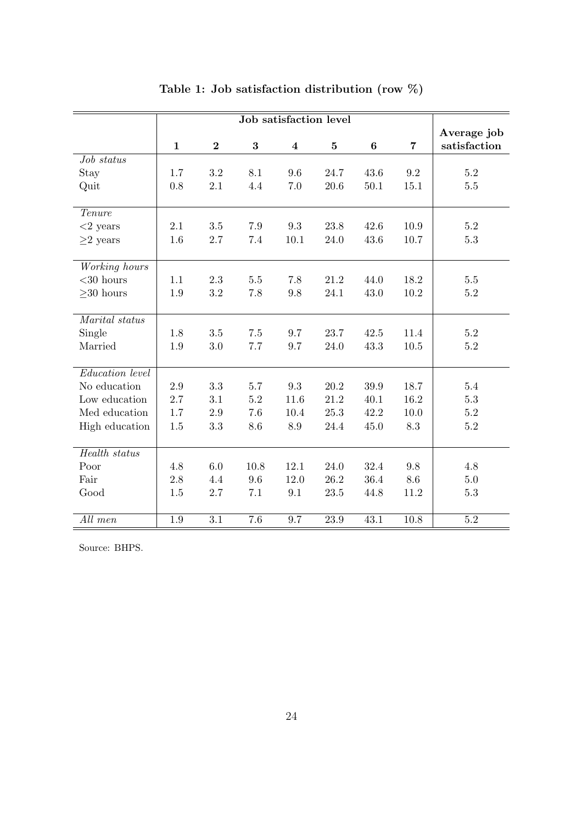|                 |              |          |          |                         |          |          |                | Average job  |
|-----------------|--------------|----------|----------|-------------------------|----------|----------|----------------|--------------|
|                 | $\mathbf{1}$ | $\bf{2}$ | $\bf{3}$ | $\overline{\mathbf{4}}$ | $\bf{5}$ | $\bf{6}$ | $\overline{7}$ | satisfaction |
| Job status      |              |          |          |                         |          |          |                |              |
| Stay            | 1.7          | 3.2      | 8.1      | 9.6                     | 24.7     | 43.6     | 9.2            | $5.2\,$      |
| Quit            | 0.8          | 2.1      | 4.4      | 7.0                     | 20.6     | 50.1     | 15.1           | $5.5\,$      |
|                 |              |          |          |                         |          |          |                |              |
| Tenure          |              |          |          |                         |          |          |                |              |
| $<$ 2 years     | 2.1          | 3.5      | 7.9      | 9.3                     | 23.8     | 42.6     | 10.9           | 5.2          |
| ${\geq}2$ years | 1.6          | 2.7      | 7.4      | 10.1                    | 24.0     | 43.6     | 10.7           | 5.3          |
|                 |              |          |          |                         |          |          |                |              |
| Working hours   |              |          |          |                         |          |          |                |              |
| $<$ 30 hours    | 1.1          | 2.3      | $5.5\,$  | 7.8                     | 21.2     | 44.0     | 18.2           | 5.5          |
| $\geq$ 30 hours | 1.9          | 3.2      | 7.8      | 9.8                     | 24.1     | 43.0     | 10.2           | $5.2\,$      |
|                 |              |          |          |                         |          |          |                |              |
| Marital status  |              |          |          |                         |          |          |                |              |
| Single          | 1.8          | $3.5\,$  | 7.5      | 9.7                     | 23.7     | 42.5     | 11.4           | $5.2\,$      |
| Married         | 1.9          | 3.0      | 7.7      | 9.7                     | 24.0     | 43.3     | $10.5\,$       | $5.2\,$      |
|                 |              |          |          |                         |          |          |                |              |
| Education level |              |          |          |                         |          |          |                |              |
| No education    | 2.9          | 3.3      | 5.7      | 9.3                     | 20.2     | 39.9     | 18.7           | 5.4          |
| Low education   | 2.7          | 3.1      | $5.2\,$  | 11.6                    | 21.2     | 40.1     | 16.2           | $5.3\,$      |
| Med education   | 1.7          | 2.9      | 7.6      | 10.4                    | 25.3     | 42.2     | 10.0           | $5.2\,$      |
| High education  | 1.5          | 3.3      | 8.6      | 8.9                     | 24.4     | 45.0     | 8.3            | $5.2\,$      |
|                 |              |          |          |                         |          |          |                |              |
| Health status   |              |          |          |                         |          |          |                |              |
| Poor            | 4.8          | 6.0      | 10.8     | 12.1                    | 24.0     | 32.4     | 9.8            | 4.8          |
| Fair            | 2.8          | 4.4      | 9.6      | 12.0                    | 26.2     | 36.4     | 8.6            | $5.0\,$      |
| Good            | 1.5          | 2.7      | 7.1      | 9.1                     | 23.5     | 44.8     | 11.2           | $5.3\,$      |
|                 |              |          |          |                         |          |          |                |              |
| All men         | 1.9          | 3.1      | 7.6      | 9.7                     | 23.9     | 43.1     | 10.8           | 5.2          |

## Table 1: Job satisfaction distribution (row %)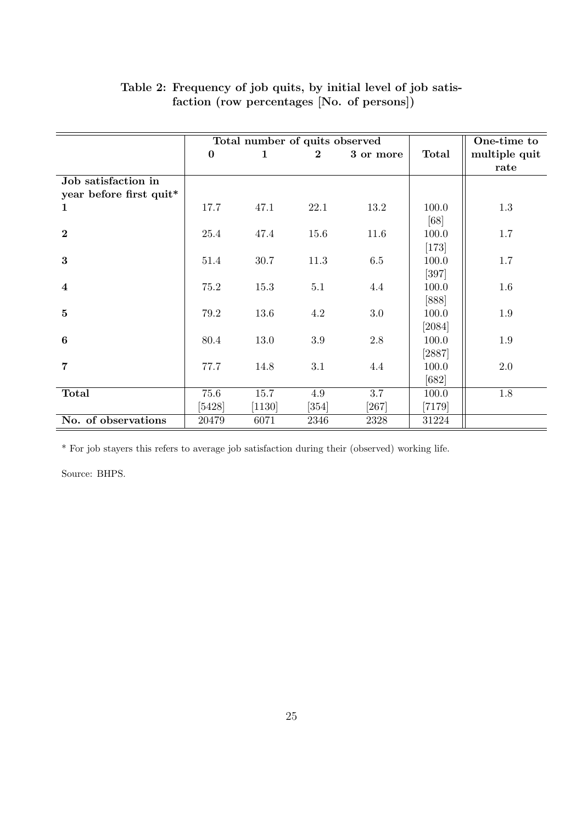|                         |          | Total number of quits observed |          | One-time to |              |               |
|-------------------------|----------|--------------------------------|----------|-------------|--------------|---------------|
|                         | $\bf{0}$ | $\mathbf{1}$                   | $\bf{2}$ | 3 or more   | <b>Total</b> | multiple quit |
|                         |          |                                |          |             |              | rate          |
| Job satisfaction in     |          |                                |          |             |              |               |
| year before first quit* |          |                                |          |             |              |               |
| 1                       | 17.7     | 47.1                           | 22.1     | 13.2        | 100.0        | $1.3\,$       |
|                         |          |                                |          |             | [68]         |               |
| $\overline{2}$          | 25.4     | 47.4                           | 15.6     | 11.6        | 100.0        | 1.7           |
|                         |          |                                |          |             | $[173]$      |               |
| $\bf{3}$                | 51.4     | 30.7                           | 11.3     | 6.5         | 100.0        | $1.7\,$       |
|                         |          |                                |          |             | $[397]$      |               |
| $\overline{\mathbf{4}}$ | 75.2     | 15.3                           | 5.1      | 4.4         | 100.0        | 1.6           |
|                         |          |                                |          |             | $[888]$      |               |
| $\mathbf{5}$            | 79.2     | 13.6                           | 4.2      | $3.0\,$     | 100.0        | 1.9           |
|                         |          |                                |          |             | [2084]       |               |
| $\boldsymbol{6}$        | 80.4     | 13.0                           | $3.9\,$  | $2.8\,$     | 100.0        | 1.9           |
|                         |          |                                |          |             | [2887]       |               |
| $\overline{7}$          | 77.7     | 14.8                           | 3.1      | 4.4         | 100.0        | 2.0           |
|                         |          |                                |          |             | $[682]$      |               |
| <b>Total</b>            | 75.6     | $15.7\,$                       | $4.9\,$  | 3.7         | 100.0        | 1.8           |
|                         | [5428]   | [1130]                         | $[354]$  | $[267]$     | $[7179]$     |               |
| No. of observations     | 20479    | 6071                           | 2346     | 2328        | 31224        |               |

### Table 2: Frequency of job quits, by initial level of job satisfaction (row percentages [No. of persons])

\* For job stayers this refers to average job satisfaction during their (observed) working life.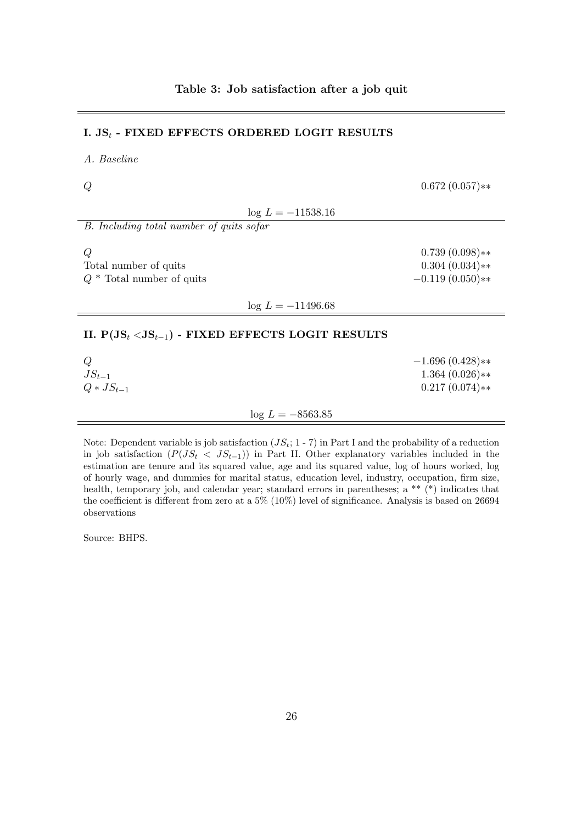| I. $JS_t$ - FIXED EFFECTS ORDERED LOGIT RESULTS           |                                                           |  |  |  |  |  |
|-----------------------------------------------------------|-----------------------------------------------------------|--|--|--|--|--|
| A. Baseline                                               |                                                           |  |  |  |  |  |
|                                                           | $0.672(0.057)**$                                          |  |  |  |  |  |
| $\log L = -11538.16$                                      |                                                           |  |  |  |  |  |
| B. Including total number of quits sofar                  |                                                           |  |  |  |  |  |
| Q<br>Total number of quits<br>$Q^*$ Total number of quits | $0.739(0.098)**$<br>$0.304(0.034)**$<br>$-0.119(0.050)**$ |  |  |  |  |  |
| $\log L = -11496.68$                                      |                                                           |  |  |  |  |  |
| II. $P(JS_t < JS_{t-1})$ - FIXED EFFECTS LOGIT RESULTS    |                                                           |  |  |  |  |  |
| Q<br>$JS_{t-1}$<br>$Q * JS_{t-1}$                         | $-1.696(0.428)**$<br>$1.364(0.026)**$<br>$0.217(0.074)**$ |  |  |  |  |  |
| $\log L = -8563.85$                                       |                                                           |  |  |  |  |  |
|                                                           |                                                           |  |  |  |  |  |

Note: Dependent variable is job satisfaction  $(JS_t; 1 - 7)$  in Part I and the probability of a reduction in job satisfaction  $(P(JS_t < JS_{t-1}))$  in Part II. Other explanatory variables included in the estimation are tenure and its squared value, age and its squared value, log of hours worked, log of hourly wage, and dummies for marital status, education level, industry, occupation, firm size, health, temporary job, and calendar year; standard errors in parentheses; a \*\* (\*) indicates that the coefficient is different from zero at a 5% (10%) level of significance. Analysis is based on 26694 observations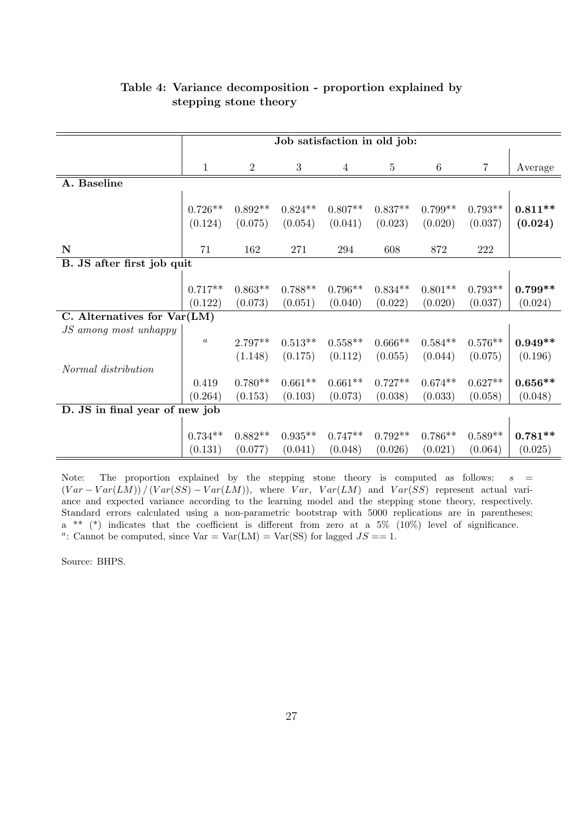|                                | Job satisfaction in old job: |                      |                      |                      |                      |                      |                      |                      |
|--------------------------------|------------------------------|----------------------|----------------------|----------------------|----------------------|----------------------|----------------------|----------------------|
|                                | $\mathbf{1}$                 | $\overline{2}$       | $\sqrt{3}$           | 4                    | $5\,$                | $6\phantom{.}6$      | $\overline{7}$       | Average              |
| A. Baseline                    |                              |                      |                      |                      |                      |                      |                      |                      |
|                                | $0.726**$<br>(0.124)         | $0.892**$<br>(0.075) | $0.824**$<br>(0.054) | $0.807**$<br>(0.041) | $0.837**$<br>(0.023) | $0.799**$<br>(0.020) | $0.793**$<br>(0.037) | $0.811**$<br>(0.024) |
| ${\bf N}$                      | 71                           | 162                  | 271                  | 294                  | 608                  | 872                  | $222\,$              |                      |
| B. JS after first job quit     |                              |                      |                      |                      |                      |                      |                      |                      |
|                                |                              |                      |                      |                      |                      |                      |                      |                      |
|                                | $0.717**$                    | $0.863**$            | $0.788**$            | $0.796**$            | $0.834**$            | $0.801**$            | $0.793**$            | $0.799**$            |
|                                | (0.122)                      | (0.073)              | (0.051)              | (0.040)              | (0.022)              | (0.020)              | (0.037)              | (0.024)              |
| C. Alternatives for Var(LM)    |                              |                      |                      |                      |                      |                      |                      |                      |
| JS among most unhappy          |                              |                      |                      |                      |                      |                      |                      |                      |
|                                | $\boldsymbol{a}$             | $2.797**$            | $0.513**$            | $0.558**$            | $0.666**$            | $0.584**$            | $0.576**$            | $0.949**$            |
|                                |                              | (1.148)              | (0.175)              | (0.112)              | (0.055)              | (0.044)              | (0.075)              | (0.196)              |
| Normal distribution            |                              |                      |                      |                      |                      |                      |                      |                      |
|                                | 0.419                        | $0.780**$            | $0.661**$            | $0.661**$            | $0.727**$            | $0.674**$            | $0.627**$            | $0.656**$            |
|                                | (0.264)                      | (0.153)              | (0.103)              | (0.073)              | (0.038)              | (0.033)              | (0.058)              | (0.048)              |
| D. JS in final year of new job |                              |                      |                      |                      |                      |                      |                      |                      |
|                                | $0.734**$                    | $0.882**$            | $0.935**$            | $0.747**$            | $0.792**$            | $0.786**$            | $0.589**$            | $0.781**$            |
|                                | (0.131)                      | (0.077)              | (0.041)              | (0.048)              | (0.026)              | (0.021)              | (0.064)              | (0.025)              |

#### Table 4: Variance decomposition - proportion explained by stepping stone theory

Note: The proportion explained by the stepping stone theory is computed as follows:  $s =$  $(Var - Var(LM)) / (Var(SS) - Var(LM))$ , where  $Var, Var(LM)$  and  $Var(SS)$  represent actual variance and expected variance according to the learning model and the stepping stone theory, respectively. Standard errors calculated using a non-parametric bootstrap with 5000 replications are in parentheses; a \*\* (\*) indicates that the coefficient is different from zero at a 5% (10%) level of significance. <sup>a</sup>: Cannot be computed, since  $Var = Var(LM) = Var(SS)$  for lagged  $JS == 1$ .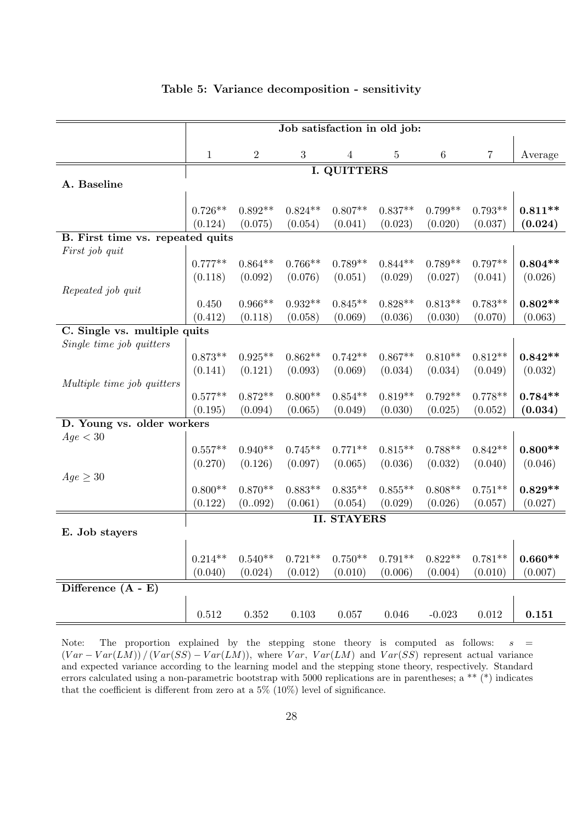|                                  | Job satisfaction in old job: |                      |                  |                    |                |                      |                      |           |  |
|----------------------------------|------------------------------|----------------------|------------------|--------------------|----------------|----------------------|----------------------|-----------|--|
|                                  | $\mathbf{1}$                 | $\overline{2}$       | $\boldsymbol{3}$ | $\overline{4}$     | $\overline{5}$ | $\,6\,$              | $\overline{7}$       | Average   |  |
|                                  | <b>I. QUITTERS</b>           |                      |                  |                    |                |                      |                      |           |  |
| A. Baseline                      |                              |                      |                  |                    |                |                      |                      |           |  |
|                                  |                              |                      |                  |                    |                |                      |                      |           |  |
|                                  | $0.726**$<br>(0.124)         | $0.892**$<br>(0.075) | $0.824**$        | $0.807**$          | $0.837**$      | $0.799**$<br>(0.020) | $0.793**$<br>(0.037) | $0.811**$ |  |
| B. First time vs. repeated quits |                              |                      | (0.054)          | (0.041)            | (0.023)        |                      |                      | (0.024)   |  |
| First job quit                   |                              |                      |                  |                    |                |                      |                      |           |  |
|                                  | $0.777**$                    | $0.864**$            | $0.766**$        | $0.789**$          | $0.844**$      | $0.789**$            | $0.797**$            | $0.804**$ |  |
|                                  | (0.118)                      | (0.092)              | (0.076)          | (0.051)            | (0.029)        | (0.027)              | (0.041)              | (0.026)   |  |
| Repeated job quit                |                              |                      |                  |                    |                |                      |                      |           |  |
|                                  | 0.450                        | $0.966**$            | $0.932**$        | $0.845**$          | $0.828**$      | $0.813**$            | $0.783**$            | $0.802**$ |  |
|                                  | (0.412)                      | (0.118)              | (0.058)          | (0.069)            | (0.036)        | (0.030)              | (0.070)              | (0.063)   |  |
| C. Single vs. multiple quits     |                              |                      |                  |                    |                |                      |                      |           |  |
| Single time job quitters         |                              |                      |                  |                    |                |                      |                      |           |  |
|                                  | $0.873**$                    | $0.925**$            | $0.862**$        | $0.742**$          | $0.867**$      | $0.810**$            | $0.812**$            | $0.842**$ |  |
| Multiple time job quitters       | (0.141)                      | (0.121)              | (0.093)          | (0.069)            | (0.034)        | (0.034)              | (0.049)              | (0.032)   |  |
|                                  | $0.577**$                    | $0.872**$            | $0.800**$        | $0.854**$          | $0.819**$      | $0.792**$            | $0.778**$            | $0.784**$ |  |
|                                  | (0.195)                      | (0.094)              | (0.065)          | (0.049)            | (0.030)        | (0.025)              | (0.052)              | (0.034)   |  |
| D. Young vs. older workers       |                              |                      |                  |                    |                |                      |                      |           |  |
| Age < 30                         |                              |                      |                  |                    |                |                      |                      |           |  |
|                                  | $0.557**$                    | $0.940**$            | $0.745**$        | $0.771**$          | $0.815**$      | $0.788**$            | $0.842**$            | $0.800**$ |  |
|                                  | (0.270)                      | (0.126)              | (0.097)          | (0.065)            | (0.036)        | (0.032)              | (0.040)              | (0.046)   |  |
| $Age \geq 30$                    |                              |                      |                  |                    |                |                      |                      |           |  |
|                                  | $0.800**$                    | $0.870**$            | $0.883**$        | $0.835**$          | $0.855**$      | $0.808**$            | $0.751**$            | $0.829**$ |  |
|                                  | (0.122)                      | (0092)               | (0.061)          | (0.054)            | (0.029)        | (0.026)              | (0.057)              | (0.027)   |  |
|                                  |                              |                      |                  | <b>II. STAYERS</b> |                |                      |                      |           |  |
| E. Job stayers                   |                              |                      |                  |                    |                |                      |                      |           |  |
|                                  |                              |                      |                  |                    |                |                      |                      |           |  |
|                                  | $0.214**$                    | $0.540**$            | $0.721**$        | $0.750**$          | $0.791**$      | $0.822**$            | $0.781**$            | $0.660**$ |  |
|                                  | (0.040)                      | (0.024)              | (0.012)          | (0.010)            | (0.006)        | (0.004)              | (0.010)              | (0.007)   |  |
| Difference $(A - E)$             |                              |                      |                  |                    |                |                      |                      |           |  |
|                                  | 0.512                        | 0.352                | 0.103            | 0.057              | 0.046          | $-0.023$             | 0.012                | 0.151     |  |

#### Table 5: Variance decomposition - sensitivity

Note: The proportion explained by the stepping stone theory is computed as follows:  $s =$  $(Var - Var(LM)) / (Var(SS) - Var(LM))$ , where  $Var, Var(LM)$  and  $Var(SS)$  represent actual variance and expected variance according to the learning model and the stepping stone theory, respectively. Standard errors calculated using a non-parametric bootstrap with 5000 replications are in parentheses; a \*\* (\*) indicates that the coefficient is different from zero at a 5% (10%) level of significance.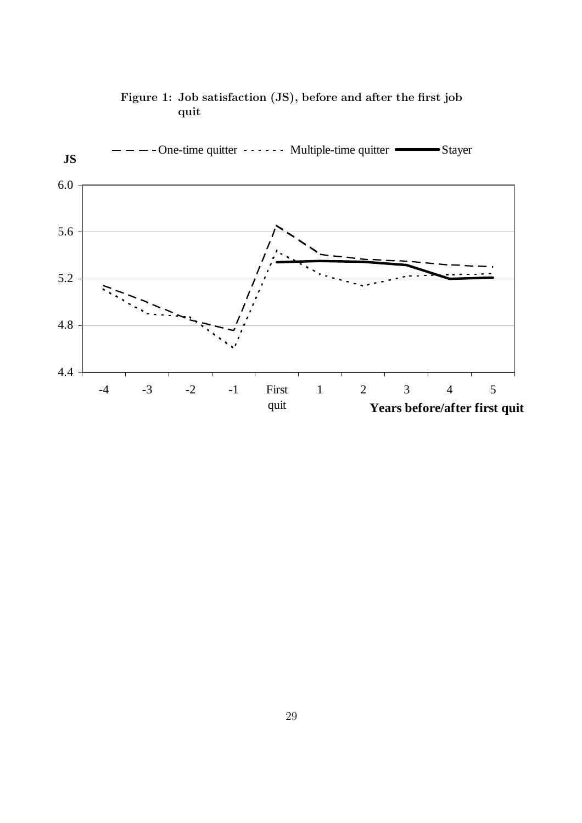

### Figure 1: Job satisfaction (JS), before and after the first job quit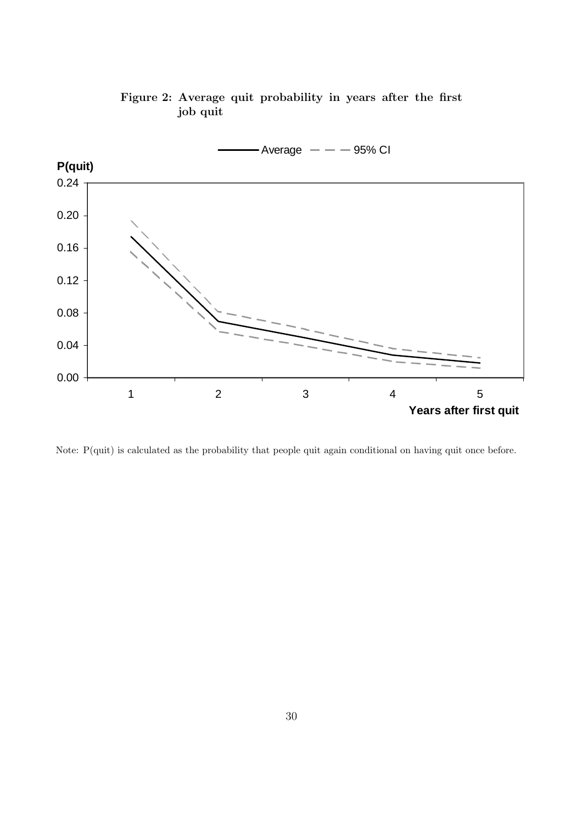

Figure 2: Average quit probability in years after the first job quit

Note: P(quit) is calculated as the probability that people quit again conditional on having quit once before.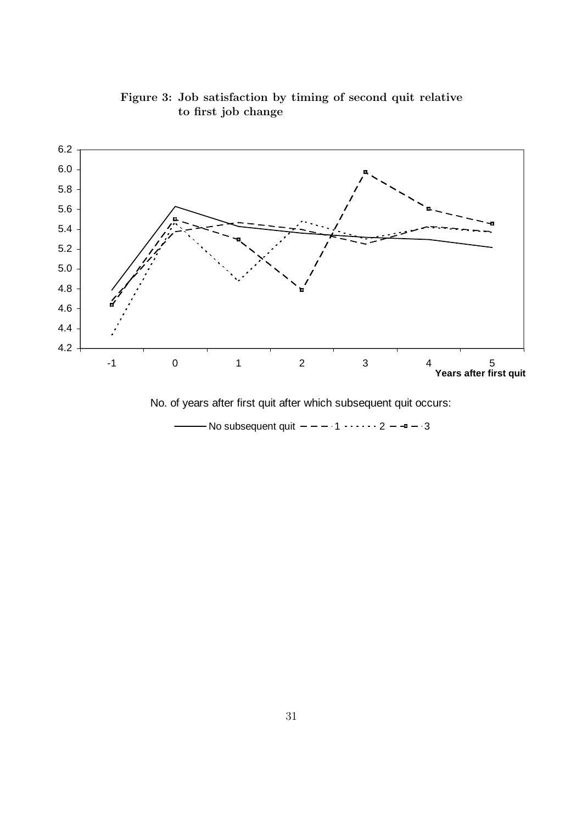

Figure 3: Job satisfaction by timing of second quit relative to first job change

No. of years after first quit after which subsequent quit occurs:

- No subsequent quit  $- - - 1 - - - 2 - - - 3$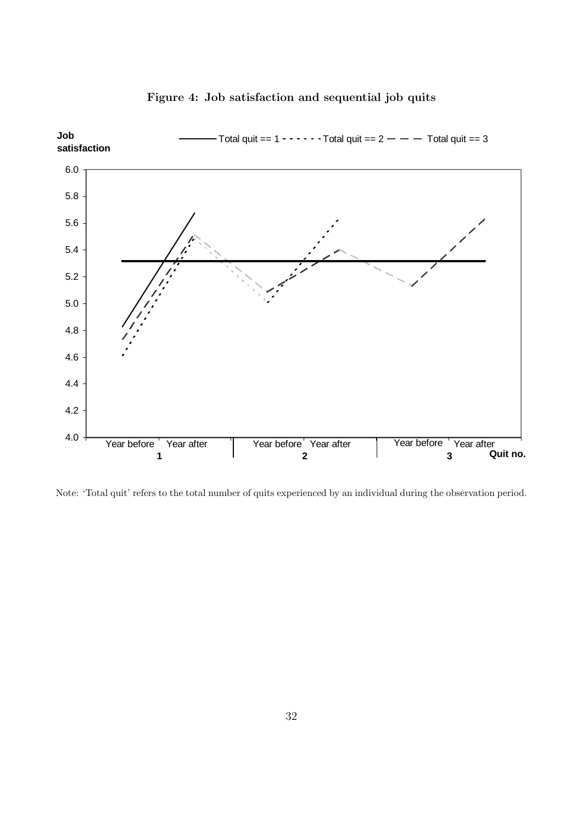

# Figure 4: Job satisfaction and sequential job quits

Note: 'Total quit' refers to the total number of quits experienced by an individual during the observation period.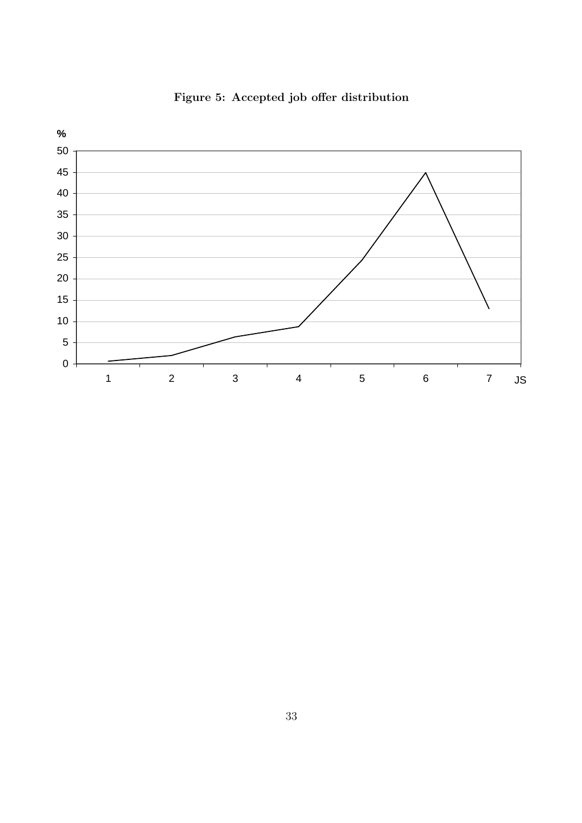

Figure 5: Accepted job offer distribution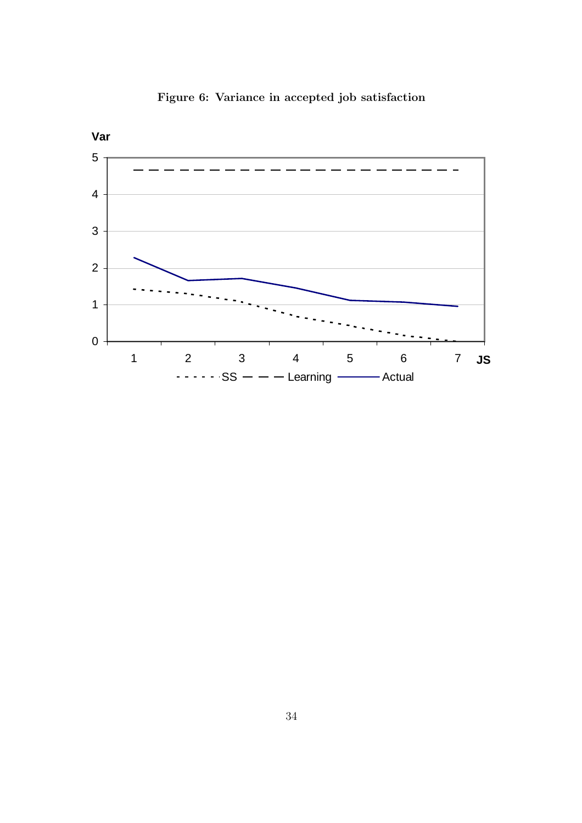

Figure 6: Variance in accepted job satisfaction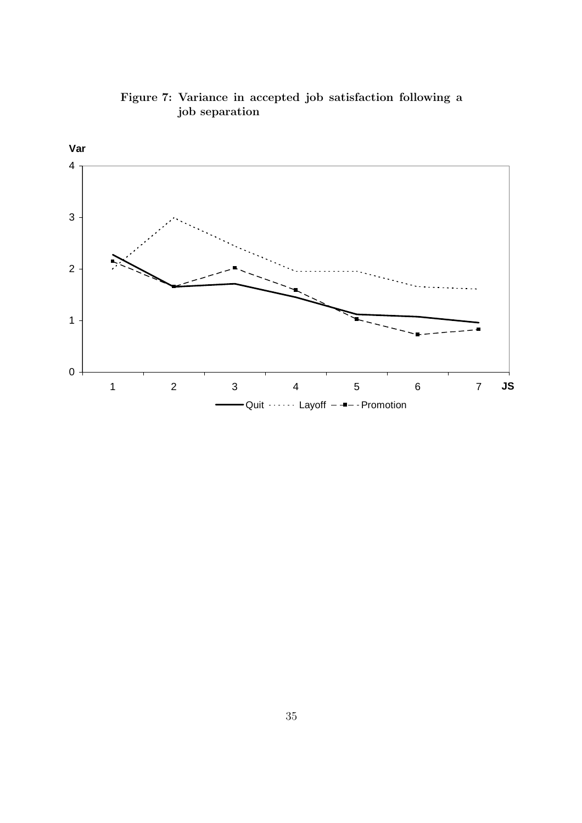

Figure 7: Variance in accepted job satisfaction following a job separation